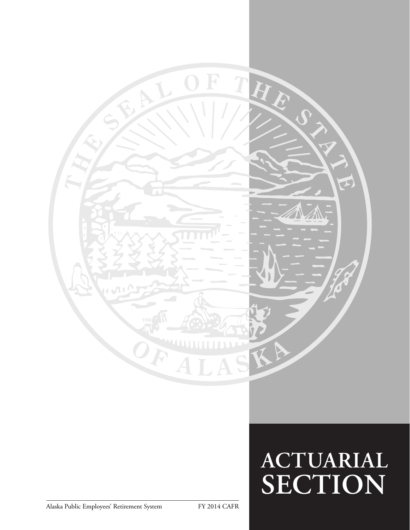

# **ACTUARIAL SECTION**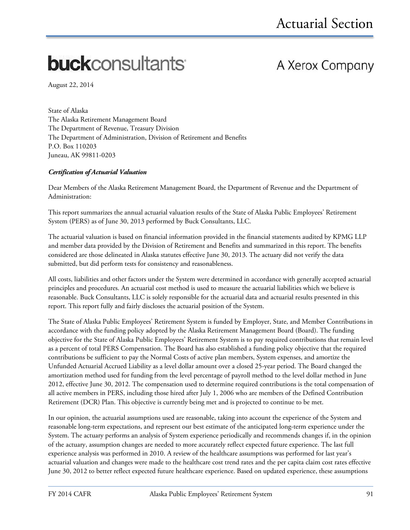# **buck**consultants

# A Xerox Company

August 22, 2014

State of Alaska The Alaska Retirement Management Board The Department of Revenue, Treasury Division The Department of Administration, Division of Retirement and Benefits P.O. Box 110203 Juneau, AK 99811-0203

#### *Certification of Actuarial Valuation*

Dear Members of the Alaska Retirement Management Board, the Department of Revenue and the Department of Administration:

This report summarizes the annual actuarial valuation results of the State of Alaska Public Employees' Retirement System (PERS) as of June 30, 2013 performed by Buck Consultants, LLC.

The actuarial valuation is based on financial information provided in the financial statements audited by KPMG LLP and member data provided by the Division of Retirement and Benefits and summarized in this report. The benefits considered are those delineated in Alaska statutes effective June 30, 2013. The actuary did not verify the data submitted, but did perform tests for consistency and reasonableness.

All costs, liabilities and other factors under the System were determined in accordance with generally accepted actuarial principles and procedures. An actuarial cost method is used to measure the actuarial liabilities which we believe is reasonable. Buck Consultants, LLC is solely responsible for the actuarial data and actuarial results presented in this report. This report fully and fairly discloses the actuarial position of the System.

The State of Alaska Public Employees' Retirement System is funded by Employer, State, and Member Contributions in accordance with the funding policy adopted by the Alaska Retirement Management Board (Board). The funding objective for the State of Alaska Public Employees' Retirement System is to pay required contributions that remain level as a percent of total PERS Compensation. The Board has also established a funding policy objective that the required contributions be sufficient to pay the Normal Costs of active plan members, System expenses, and amortize the Unfunded Actuarial Accrued Liability as a level dollar amount over a closed 25-year period. The Board changed the amortization method used for funding from the level percentage of payroll method to the level dollar method in June 2012, effective June 30, 2012. The compensation used to determine required contributions is the total compensation of all active members in PERS, including those hired after July 1, 2006 who are members of the Defined Contribution Retirement (DCR) Plan. This objective is currently being met and is projected to continue to be met.

In our opinion, the actuarial assumptions used are reasonable, taking into account the experience of the System and reasonable long-term expectations, and represent our best estimate of the anticipated long-term experience under the System. The actuary performs an analysis of System experience periodically and recommends changes if, in the opinion of the actuary, assumption changes are needed to more accurately reflect expected future experience. The last full experience analysis was performed in 2010. A review of the healthcare assumptions was performed for last year's actuarial valuation and changes were made to the healthcare cost trend rates and the per capita claim cost rates effective June 30, 2012 to better reflect expected future healthcare experience. Based on updated experience, these assumptions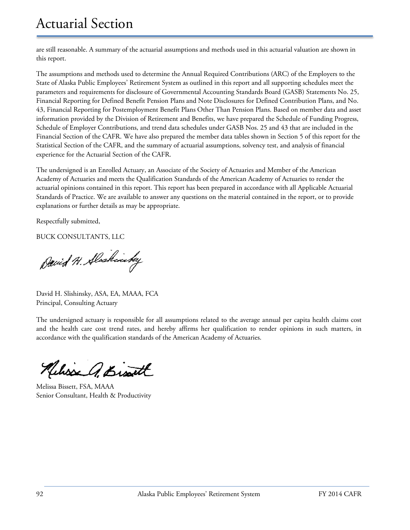# Actuarial Section

are still reasonable. A summary of the actuarial assumptions and methods used in this actuarial valuation are shown in this report.

The assumptions and methods used to determine the Annual Required Contributions (ARC) of the Employers to the State of Alaska Public Employees' Retirement System as outlined in this report and all supporting schedules meet the parameters and requirements for disclosure of Governmental Accounting Standards Board (GASB) Statements No. 25, Financial Reporting for Defined Benefit Pension Plans and Note Disclosures for Defined Contribution Plans, and No. 43, Financial Reporting for Postemployment Benefit Plans Other Than Pension Plans. Based on member data and asset information provided by the Division of Retirement and Benefits, we have prepared the Schedule of Funding Progress, Schedule of Employer Contributions, and trend data schedules under GASB Nos. 25 and 43 that are included in the Financial Section of the CAFR. We have also prepared the member data tables shown in Section 5 of this report for the Statistical Section of the CAFR, and the summary of actuarial assumptions, solvency test, and analysis of financial experience for the Actuarial Section of the CAFR.

The undersigned is an Enrolled Actuary, an Associate of the Society of Actuaries and Member of the American Academy of Actuaries and meets the Qualification Standards of the American Academy of Actuaries to render the actuarial opinions contained in this report. This report has been prepared in accordance with all Applicable Actuarial Standards of Practice. We are available to answer any questions on the material contained in the report, or to provide explanations or further details as may be appropriate.

Respectfully submitted,

BUCK CONSULTANTS, LLC

David H. Alaskinsky

David H. Slishinsky, ASA, EA, MAAA, FCA Principal, Consulting Actuary

The undersigned actuary is responsible for all assumptions related to the average annual per capita health claims cost and the health care cost trend rates, and hereby affirms her qualification to render opinions in such matters, in accordance with the qualification standards of the American Academy of Actuaries.

Kelisse a Bisatt

Melissa Bissett, FSA, MAAA Senior Consultant, Health & Productivity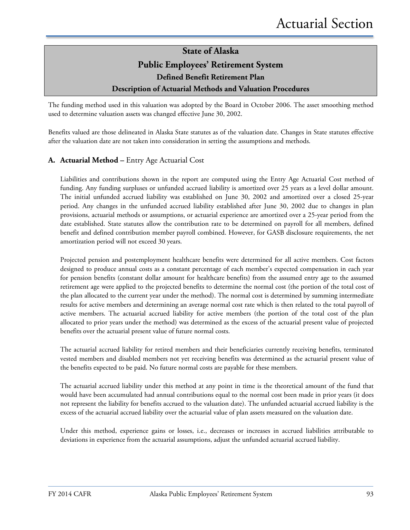# **State of Alaska Public Employees' Retirement System Defined Benefit Retirement Plan**

#### **Description of Actuarial Methods and Valuation Procedures**

The funding method used in this valuation was adopted by the Board in October 2006. The asset smoothing method used to determine valuation assets was changed effective June 30, 2002.

Benefits valued are those delineated in Alaska State statutes as of the valuation date. Changes in State statutes effective after the valuation date are not taken into consideration in setting the assumptions and methods.

#### **A. Actuarial Method –** Entry Age Actuarial Cost

Liabilities and contributions shown in the report are computed using the Entry Age Actuarial Cost method of funding. Any funding surpluses or unfunded accrued liability is amortized over 25 years as a level dollar amount. The initial unfunded accrued liability was established on June 30, 2002 and amortized over a closed 25-year period. Any changes in the unfunded accrued liability established after June 30, 2002 due to changes in plan provisions, actuarial methods or assumptions, or actuarial experience are amortized over a 25-year period from the date established. State statutes allow the contribution rate to be determined on payroll for all members, defined benefit and defined contribution member payroll combined. However, for GASB disclosure requirements, the net amortization period will not exceed 30 years.

Projected pension and postemployment healthcare benefits were determined for all active members. Cost factors designed to produce annual costs as a constant percentage of each member's expected compensation in each year for pension benefits (constant dollar amount for healthcare benefits) from the assumed entry age to the assumed retirement age were applied to the projected benefits to determine the normal cost (the portion of the total cost of the plan allocated to the current year under the method). The normal cost is determined by summing intermediate results for active members and determining an average normal cost rate which is then related to the total payroll of active members. The actuarial accrued liability for active members (the portion of the total cost of the plan allocated to prior years under the method) was determined as the excess of the actuarial present value of projected benefits over the actuarial present value of future normal costs.

The actuarial accrued liability for retired members and their beneficiaries currently receiving benefits, terminated vested members and disabled members not yet receiving benefits was determined as the actuarial present value of the benefits expected to be paid. No future normal costs are payable for these members.

The actuarial accrued liability under this method at any point in time is the theoretical amount of the fund that would have been accumulated had annual contributions equal to the normal cost been made in prior years (it does not represent the liability for benefits accrued to the valuation date). The unfunded actuarial accrued liability is the excess of the actuarial accrued liability over the actuarial value of plan assets measured on the valuation date.

Under this method, experience gains or losses, i.e., decreases or increases in accrued liabilities attributable to deviations in experience from the actuarial assumptions, adjust the unfunded actuarial accrued liability.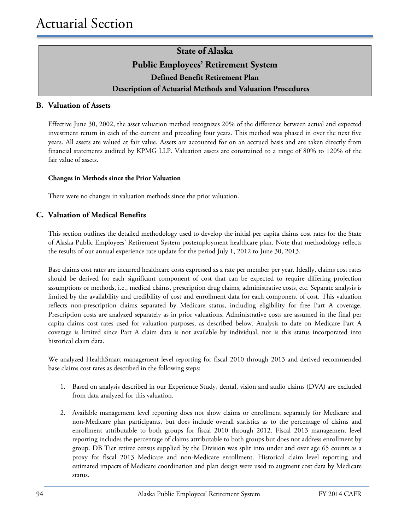#### **B. Valuation of Assets**

Effective June 30, 2002, the asset valuation method recognizes 20% of the difference between actual and expected investment return in each of the current and preceding four years. This method was phased in over the next five years. All assets are valued at fair value. Assets are accounted for on an accrued basis and are taken directly from financial statements audited by KPMG LLP. Valuation assets are constrained to a range of 80% to 120% of the fair value of assets.

#### **Changes in Methods since the Prior Valuation**

There were no changes in valuation methods since the prior valuation.

#### **C. Valuation of Medical Benefits**

This section outlines the detailed methodology used to develop the initial per capita claims cost rates for the State of Alaska Public Employees' Retirement System postemployment healthcare plan. Note that methodology reflects the results of our annual experience rate update for the period July 1, 2012 to June 30, 2013.

Base claims cost rates are incurred healthcare costs expressed as a rate per member per year. Ideally, claims cost rates should be derived for each significant component of cost that can be expected to require differing projection assumptions or methods, i.e., medical claims, prescription drug claims, administrative costs, etc. Separate analysis is limited by the availability and credibility of cost and enrollment data for each component of cost. This valuation reflects non-prescription claims separated by Medicare status, including eligibility for free Part A coverage. Prescription costs are analyzed separately as in prior valuations. Administrative costs are assumed in the final per capita claims cost rates used for valuation purposes, as described below. Analysis to date on Medicare Part A coverage is limited since Part A claim data is not available by individual, nor is this status incorporated into historical claim data.

We analyzed HealthSmart management level reporting for fiscal 2010 through 2013 and derived recommended base claims cost rates as described in the following steps:

- 1. Based on analysis described in our Experience Study, dental, vision and audio claims (DVA) are excluded from data analyzed for this valuation.
- 2. Available management level reporting does not show claims or enrollment separately for Medicare and non-Medicare plan participants, but does include overall statistics as to the percentage of claims and enrollment attributable to both groups for fiscal 2010 through 2012. Fiscal 2013 management level reporting includes the percentage of claims attributable to both groups but does not address enrollment by group. DB Tier retiree census supplied by the Division was split into under and over age 65 counts as a proxy for fiscal 2013 Medicare and non-Medicare enrollment. Historical claim level reporting and estimated impacts of Medicare coordination and plan design were used to augment cost data by Medicare status.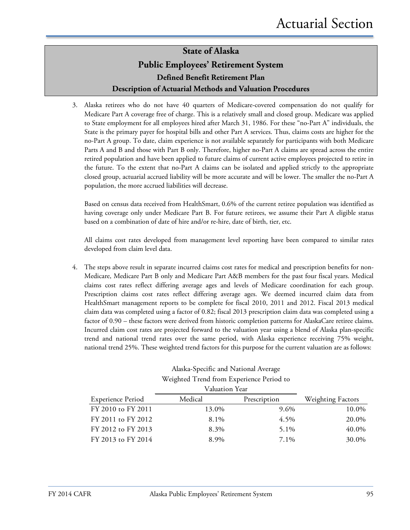3. Alaska retirees who do not have 40 quarters of Medicare-covered compensation do not qualify for Medicare Part A coverage free of charge. This is a relatively small and closed group. Medicare was applied to State employment for all employees hired after March 31, 1986. For these "no-Part A" individuals, the State is the primary payer for hospital bills and other Part A services. Thus, claims costs are higher for the no-Part A group. To date, claim experience is not available separately for participants with both Medicare Parts A and B and those with Part B only. Therefore, higher no-Part A claims are spread across the entire retired population and have been applied to future claims of current active employees projected to retire in the future. To the extent that no-Part A claims can be isolated and applied strictly to the appropriate closed group, actuarial accrued liability will be more accurate and will be lower. The smaller the no-Part A population, the more accrued liabilities will decrease.

Based on census data received from HealthSmart, 0.6% of the current retiree population was identified as having coverage only under Medicare Part B. For future retirees, we assume their Part A eligible status based on a combination of date of hire and/or re-hire, date of birth, tier, etc.

All claims cost rates developed from management level reporting have been compared to similar rates developed from claim level data.

4. The steps above result in separate incurred claims cost rates for medical and prescription benefits for non-Medicare, Medicare Part B only and Medicare Part A&B members for the past four fiscal years. Medical claims cost rates reflect differing average ages and levels of Medicare coordination for each group. Prescription claims cost rates reflect differing average ages. We deemed incurred claim data from HealthSmart management reports to be complete for fiscal 2010, 2011 and 2012. Fiscal 2013 medical claim data was completed using a factor of 0.82; fiscal 2013 prescription claim data was completed using a factor of 0.90 – these factors were derived from historic completion patterns for AlaskaCare retiree claims. Incurred claim cost rates are projected forward to the valuation year using a blend of Alaska plan-specific trend and national trend rates over the same period, with Alaska experience receiving 75% weight, national trend 25%. These weighted trend factors for this purpose for the current valuation are as follows:

| Valuation Year |              |                                         |  |
|----------------|--------------|-----------------------------------------|--|
| Medical        | Prescription | <b>Weighting Factors</b>                |  |
| 13.0%          | 9.6%         | 10.0%                                   |  |
| 8.1%           | $4.5\%$      | 20.0%                                   |  |
| 8.3%           | 5.1%         | 40.0%                                   |  |
| 8.9%           | 7.1%         | 30.0%                                   |  |
|                |              | weighted Trend Hom Experience Ferrod to |  |

#### Alaska-Specific and National Average Weighted Trend from Experience Period to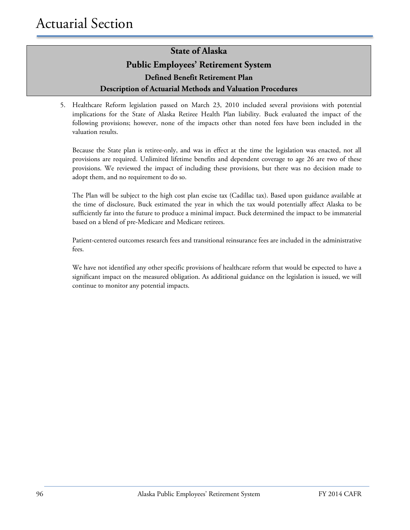5. Healthcare Reform legislation passed on March 23, 2010 included several provisions with potential implications for the State of Alaska Retiree Health Plan liability. Buck evaluated the impact of the following provisions; however, none of the impacts other than noted fees have been included in the valuation results.

Because the State plan is retiree-only, and was in effect at the time the legislation was enacted, not all provisions are required. Unlimited lifetime benefits and dependent coverage to age 26 are two of these provisions. We reviewed the impact of including these provisions, but there was no decision made to adopt them, and no requirement to do so.

The Plan will be subject to the high cost plan excise tax (Cadillac tax). Based upon guidance available at the time of disclosure, Buck estimated the year in which the tax would potentially affect Alaska to be sufficiently far into the future to produce a minimal impact. Buck determined the impact to be immaterial based on a blend of pre-Medicare and Medicare retirees.

Patient-centered outcomes research fees and transitional reinsurance fees are included in the administrative fees.

We have not identified any other specific provisions of healthcare reform that would be expected to have a significant impact on the measured obligation. As additional guidance on the legislation is issued, we will continue to monitor any potential impacts.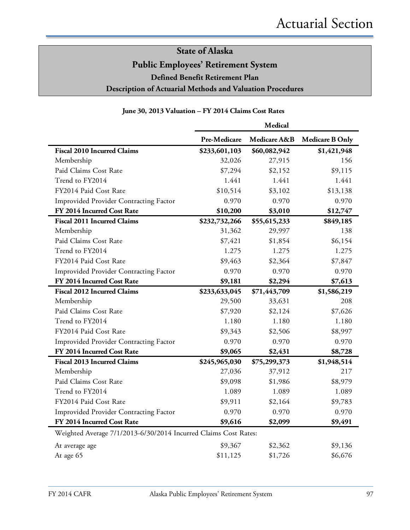#### **June 30, 2013 Valuation – FY 2014 Claims Cost Rates**

|                                                                 | Medical       |              |                        |
|-----------------------------------------------------------------|---------------|--------------|------------------------|
|                                                                 | Pre-Medicare  | Medicare A&B | <b>Medicare B Only</b> |
| <b>Fiscal 2010 Incurred Claims</b>                              | \$233,601,103 | \$60,082,942 | \$1,421,948            |
| Membership                                                      | 32,026        | 27,915       | 156                    |
| Paid Claims Cost Rate                                           | \$7,294       | \$2,152      | \$9,115                |
| Trend to FY2014                                                 | 1.441         | 1.441        | 1.441                  |
| FY2014 Paid Cost Rate                                           | \$10,514      | \$3,102      | \$13,138               |
| Improvided Provider Contracting Factor                          | 0.970         | 0.970        | 0.970                  |
| FY 2014 Incurred Cost Rate                                      | \$10,200      | \$3,010      | \$12,747               |
| <b>Fiscal 2011 Incurred Claims</b>                              | \$232,732,266 | \$55,615,233 | \$849,185              |
| Membership                                                      | 31,362        | 29,997       | 138                    |
| Paid Claims Cost Rate                                           | \$7,421       | \$1,854      | \$6,154                |
| Trend to FY2014                                                 | 1.275         | 1.275        | 1.275                  |
| FY2014 Paid Cost Rate                                           | \$9,463       | \$2,364      | \$7,847                |
| Improvided Provider Contracting Factor                          | 0.970         | 0.970        | 0.970                  |
| FY 2014 Incurred Cost Rate                                      | \$9,181       | \$2,294      | \$7,613                |
| <b>Fiscal 2012 Incurred Claims</b>                              | \$233,633,045 | \$71,443,709 | \$1,586,219            |
| Membership                                                      | 29,500        | 33,631       | 208                    |
| Paid Claims Cost Rate                                           | \$7,920       | \$2,124      | \$7,626                |
| Trend to FY2014                                                 | 1.180         | 1.180        | 1.180                  |
| FY2014 Paid Cost Rate                                           | \$9,343       | \$2,506      | \$8,997                |
| Improvided Provider Contracting Factor                          | 0.970         | 0.970        | 0.970                  |
| FY 2014 Incurred Cost Rate                                      | \$9,065       | \$2,431      | \$8,728                |
| <b>Fiscal 2013 Incurred Claims</b>                              | \$245,965,030 | \$75,299,373 | \$1,948,514            |
| Membership                                                      | 27,036        | 37,912       | 217                    |
| Paid Claims Cost Rate                                           | \$9,098       | \$1,986      | \$8,979                |
| Trend to FY2014                                                 | 1.089         | 1.089        | 1.089                  |
| FY2014 Paid Cost Rate                                           | \$9,911       | \$2,164      | \$9,783                |
| Improvided Provider Contracting Factor                          | 0.970         | 0.970        | 0.970                  |
| FY 2014 Incurred Cost Rate                                      | \$9,616       | \$2,099      | \$9,491                |
| Weighted Average 7/1/2013-6/30/2014 Incurred Claims Cost Rates: |               |              |                        |
| At average age                                                  | \$9,367       | \$2,362      | \$9,136                |
| At age 65                                                       | \$11,125      | \$1,726      | \$6,676                |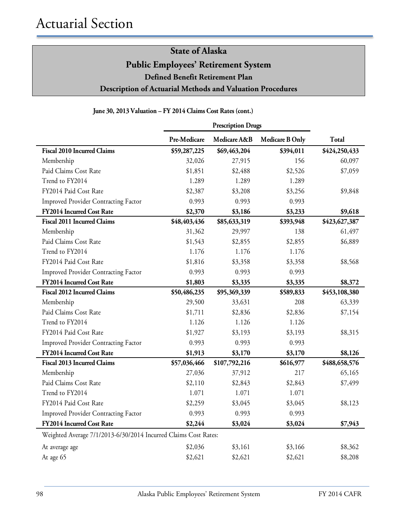|                                                                 | <b>Prescription Drugs</b> |               |                 |               |
|-----------------------------------------------------------------|---------------------------|---------------|-----------------|---------------|
|                                                                 | Pre-Medicare              | Medicare A&B  | Medicare B Only | Total         |
| <b>Fiscal 2010 Incurred Claims</b>                              | \$59,287,225              | \$69,463,204  | \$394,011       | \$424,250,433 |
| Membership                                                      | 32,026                    | 27,915        | 156             | 60,097        |
| Paid Claims Cost Rate                                           | \$1,851                   | \$2,488       | \$2,526         | \$7,059       |
| Trend to FY2014                                                 | 1.289                     | 1.289         | 1.289           |               |
| FY2014 Paid Cost Rate                                           | \$2,387                   | \$3,208       | \$3,256         | \$9,848       |
| Improved Provider Contracting Factor                            | 0.993                     | 0.993         | 0.993           |               |
| FY2014 Incurred Cost Rate                                       | \$2,370                   | \$3,186       | \$3,233         | \$9,618       |
| <b>Fiscal 2011 Incurred Claims</b>                              | \$48,403,436              | \$85,633,319  | \$393,948       | \$423,627,387 |
| Membership                                                      | 31,362                    | 29,997        | 138             | 61,497        |
| Paid Claims Cost Rate                                           | \$1,543                   | \$2,855       | \$2,855         | \$6,889       |
| Trend to FY2014                                                 | 1.176                     | 1.176         | 1.176           |               |
| FY2014 Paid Cost Rate                                           | \$1,816                   | \$3,358       | \$3,358         | \$8,568       |
| <b>Improved Provider Contracting Factor</b>                     | 0.993                     | 0.993         | 0.993           |               |
| FY2014 Incurred Cost Rate                                       | \$1,803                   | \$3,335       | \$3,335         | \$8,372       |
| <b>Fiscal 2012 Incurred Claims</b>                              | \$50,486,235              | \$95,369,339  | \$589,833       | \$453,108,380 |
| Membership                                                      | 29,500                    | 33,631        | 208             | 63,339        |
| Paid Claims Cost Rate                                           | \$1,711                   | \$2,836       | \$2,836         | \$7,154       |
| Trend to FY2014                                                 | 1.126                     | 1.126         | 1.126           |               |
| FY2014 Paid Cost Rate                                           | \$1,927                   | \$3,193       | \$3,193         | \$8,315       |
| Improved Provider Contracting Factor                            | 0.993                     | 0.993         | 0.993           |               |
| FY2014 Incurred Cost Rate                                       | \$1,913                   | \$3,170       | \$3,170         | \$8,126       |
| <b>Fiscal 2013 Incurred Claims</b>                              | \$57,036,466              | \$107,792,216 | \$616,977       | \$488,658,576 |
| Membership                                                      | 27,036                    | 37,912        | 217             | 65,165        |
| Paid Claims Cost Rate                                           | \$2,110                   | \$2,843       | \$2,843         | \$7,499       |
| Trend to FY2014                                                 | 1.071                     | 1.071         | 1.071           |               |
| FY2014 Paid Cost Rate                                           | \$2,259                   | \$3,045       | \$3,045         | \$8,123       |
| Improved Provider Contracting Factor                            | 0.993                     | 0.993         | 0.993           |               |
| FY2014 Incurred Cost Rate                                       | \$2,244                   | \$3,024       | \$3,024         | \$7,943       |
| Weighted Average 7/1/2013-6/30/2014 Incurred Claims Cost Rates: |                           |               |                 |               |
| At average age                                                  | \$2,036                   | \$3,161       | \$3,166         | \$8,362       |
| At age 65                                                       | \$2,621                   | \$2,621       | \$2,621         | \$8,208       |

#### **June 30, 2013 Valuation – FY 2014 Claims Cost Rates (cont.)**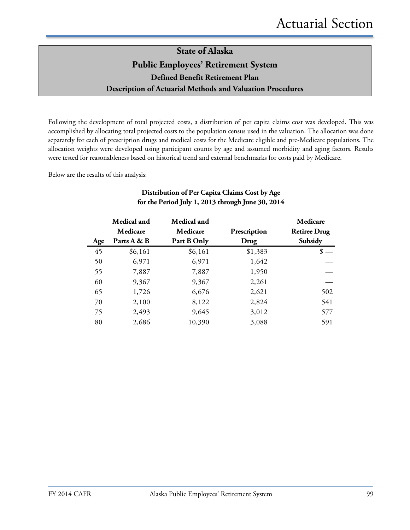Following the development of total projected costs, a distribution of per capita claims cost was developed. This was accomplished by allocating total projected costs to the population census used in the valuation. The allocation was done separately for each of prescription drugs and medical costs for the Medicare eligible and pre-Medicare populations. The allocation weights were developed using participant counts by age and assumed morbidity and aging factors. Results were tested for reasonableness based on historical trend and external benchmarks for costs paid by Medicare.

Below are the results of this analysis:

|     | Medical and<br>Medicare | Medical and<br>Medicare | Prescription | Medicare<br><b>Retiree Drug</b> |
|-----|-------------------------|-------------------------|--------------|---------------------------------|
| Age | Parts A & B             | Part B Only             | Drug         | Subsidy                         |
| 45  | \$6,161                 | \$6,161                 | \$1,383      |                                 |
| 50  | 6,971                   | 6,971                   | 1,642        |                                 |
| 55  | 7,887                   | 7,887                   | 1,950        |                                 |
| 60  | 9,367                   | 9,367                   | 2,261        |                                 |
| 65  | 1,726                   | 6,676                   | 2,621        | 502                             |
| 70  | 2,100                   | 8,122                   | 2,824        | 541                             |
| 75  | 2,493                   | 9,645                   | 3,012        | 577                             |
| 80  | 2,686                   | 10,390                  | 3,088        | 591                             |

#### **Distribution of Per Capita Claims Cost by Age for the Period July 1, 2013 through June 30, 2014**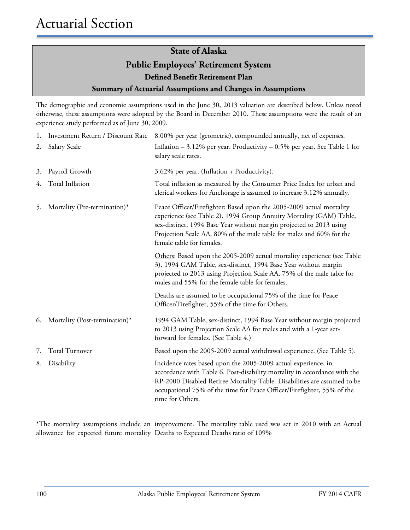## **Public Employees' Retirement System**

**Defined Benefit Retirement Plan**

#### **Summary of Actuarial Assumptions and Changes in Assumptions**

The demographic and economic assumptions used in the June 30, 2013 valuation are described below. Unless noted otherwise, these assumptions were adopted by the Board in December 2010. These assumptions were the result of an experience study performed as of June 30, 2009.

|    | 1. Investment Return / Discount Rate | 8.00% per year (geometric), compounded annually, net of expenses.                                                                                                                                                                                                                                                       |
|----|--------------------------------------|-------------------------------------------------------------------------------------------------------------------------------------------------------------------------------------------------------------------------------------------------------------------------------------------------------------------------|
| 2. | Salary Scale                         | Inflation $-3.12\%$ per year. Productivity $-0.5\%$ per year. See Table 1 for<br>salary scale rates.                                                                                                                                                                                                                    |
| 3. | Payroll Growth                       | 3.62% per year. (Inflation + Productivity).                                                                                                                                                                                                                                                                             |
| 4. | Total Inflation                      | Total inflation as measured by the Consumer Price Index for urban and<br>clerical workers for Anchorage is assumed to increase 3.12% annually.                                                                                                                                                                          |
| 5. | Mortality (Pre-termination)*         | Peace Officer/Firefighter: Based upon the 2005-2009 actual mortality<br>experience (see Table 2). 1994 Group Annuity Mortality (GAM) Table,<br>sex-distinct, 1994 Base Year without margin projected to 2013 using<br>Projection Scale AA, 80% of the male table for males and 60% for the<br>female table for females. |
|    |                                      | Others: Based upon the 2005-2009 actual mortality experience (see Table<br>3). 1994 GAM Table, sex-distinct, 1994 Base Year without margin<br>projected to 2013 using Projection Scale AA, 75% of the male table for<br>males and 55% for the female table for females.                                                 |
|    |                                      | Deaths are assumed to be occupational 75% of the time for Peace<br>Officer/Firefighter, 55% of the time for Others.                                                                                                                                                                                                     |
| 6. | Mortality (Post-termination)*        | 1994 GAM Table, sex-distinct, 1994 Base Year without margin projected<br>to 2013 using Projection Scale AA for males and with a 1-year set-<br>forward for females. (See Table 4.)                                                                                                                                      |
| 7. | <b>Total Turnover</b>                | Based upon the 2005-2009 actual withdrawal experience. (See Table 5).                                                                                                                                                                                                                                                   |
| 8. | Disability                           | Incidence rates based upon the 2005-2009 actual experience, in<br>accordance with Table 6. Post-disability mortality in accordance with the<br>RP-2000 Disabled Retiree Mortality Table. Disabilities are assumed to be<br>occupational 75% of the time for Peace Officer/Firefighter, 55% of the<br>time for Others.   |

\*The mortality assumptions include an improvement. The mortality table used was set in 2010 with an Actual allowance for expected future mortality Deaths to Expected Deaths ratio of 109%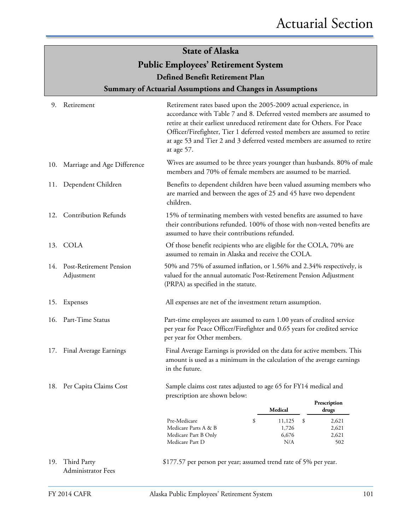## **Public Employees' Retirement System**

**Defined Benefit Retirement Plan**

**Summary of Actuarial Assumptions and Changes in Assumptions**

| 9.  | Retirement                                | Retirement rates based upon the 2005-2009 actual experience, in<br>accordance with Table 7 and 8. Deferred vested members are assumed to<br>retire at their earliest unreduced retirement date for Others. For Peace<br>Officer/Firefighter, Tier 1 deferred vested members are assumed to retire<br>at age 53 and Tier 2 and 3 deferred vested members are assumed to retire<br>at age 57. |  |  |
|-----|-------------------------------------------|---------------------------------------------------------------------------------------------------------------------------------------------------------------------------------------------------------------------------------------------------------------------------------------------------------------------------------------------------------------------------------------------|--|--|
|     | 10. Marriage and Age Difference           | Wives are assumed to be three years younger than husbands. 80% of male<br>members and 70% of female members are assumed to be married.                                                                                                                                                                                                                                                      |  |  |
|     | 11. Dependent Children                    | Benefits to dependent children have been valued assuming members who<br>are married and between the ages of 25 and 45 have two dependent<br>children.                                                                                                                                                                                                                                       |  |  |
|     | 12. Contribution Refunds                  | 15% of terminating members with vested benefits are assumed to have<br>their contributions refunded. 100% of those with non-vested benefits are<br>assumed to have their contributions refunded.                                                                                                                                                                                            |  |  |
|     | 13. COLA                                  | Of those benefit recipients who are eligible for the COLA, 70% are<br>assumed to remain in Alaska and receive the COLA.                                                                                                                                                                                                                                                                     |  |  |
|     | 14. Post-Retirement Pension<br>Adjustment | 50% and 75% of assumed inflation, or 1.56% and 2.34% respectively, is<br>valued for the annual automatic Post-Retirement Pension Adjustment<br>(PRPA) as specified in the statute.                                                                                                                                                                                                          |  |  |
| 15. | Expenses                                  | All expenses are net of the investment return assumption.                                                                                                                                                                                                                                                                                                                                   |  |  |
|     | 16. Part-Time Status                      | Part-time employees are assumed to earn 1.00 years of credited service<br>per year for Peace Officer/Firefighter and 0.65 years for credited service<br>per year for Other members.                                                                                                                                                                                                         |  |  |
|     | 17. Final Average Earnings                | Final Average Earnings is provided on the data for active members. This<br>amount is used as a minimum in the calculation of the average earnings<br>in the future.                                                                                                                                                                                                                         |  |  |
|     | 18. Per Capita Claims Cost                | Sample claims cost rates adjusted to age 65 for FY14 medical and<br>prescription are shown below:                                                                                                                                                                                                                                                                                           |  |  |
|     |                                           | Prescription<br>Medical<br>drugs                                                                                                                                                                                                                                                                                                                                                            |  |  |
|     |                                           | Pre-Medicare<br>\$<br>11,125<br>\$<br>2,621<br>Medicare Parts A & B<br>1,726<br>2,621<br>6,676<br>2,621<br>Medicare Part B Only<br>Medicare Part D<br>N/A<br>502                                                                                                                                                                                                                            |  |  |
| 19. | Third Party                               | \$177.57 per person per year; assumed trend rate of 5% per year.                                                                                                                                                                                                                                                                                                                            |  |  |

Administrator Fees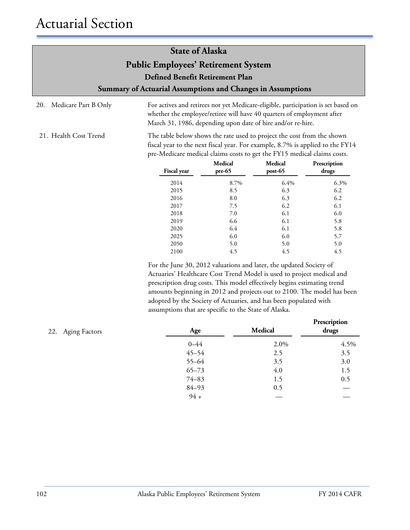20. Medicare Part B Only For actives and retirees not yet Medicare-eligible, participation is set based on whether the employee/retiree will have 40 quarters of employment after March 31, 1986, depending upon date of hire and/or re-hire.

21. Health Cost Trend The table below shows the rate used to project the cost from the shown fiscal year to the next fiscal year. For example, 8.7% is applied to the FY14 pre-Medicare medical claims costs to get the FY15 medical claims costs.

| <b>Fiscal year</b> | Medical<br>pre-65 | Medical<br>$post-65$ | Prescription<br>drugs |
|--------------------|-------------------|----------------------|-----------------------|
| 2014               | 8.7%              | 6.4%                 | 6.3%                  |
| 2015               | 8.5               | 6.3                  | 6.2                   |
| 2016               | 8.0               | 6.3                  | 6.2                   |
| 2017               | 7.5               | 6.2                  | 6.1                   |
| 2018               | 7.0               | 6.1                  | 6.0                   |
| 2019               | 6.6               | 6.1                  | 5.8                   |
| 2020               | 6.4               | 6.1                  | 5.8                   |
| 2025               | 6.0               | 6.0                  | 5.7                   |
| 2050               | 5.0               | 5.0                  | 5.0                   |
| 2100               | 4.5               | 4.5                  | 4.5                   |

For the June 30, 2012 valuations and later, the updated Society of Actuaries' Healthcare Cost Trend Model is used to project medical and prescription drug costs. This model effectively begins estimating trend amounts beginning in 2012 and projects out to 2100. The model has been adopted by the Society of Actuaries, and has been populated with assumptions that are specific to the State of Alaska.

| 22. Aging Factors | Age       | Medical | Prescription<br>drugs |
|-------------------|-----------|---------|-----------------------|
|                   | $0 - 44$  | 2.0%    | 4.5%                  |
|                   | $45 - 54$ | 2.5     | 3.5                   |
|                   | 55-64     | 3.5     | 3.0                   |
|                   | $65 - 73$ | 4.0     | 1.5                   |
|                   | $74 - 83$ | 1.5     | 0.5                   |
|                   | $84 - 93$ | 0.5     |                       |
|                   | $94 +$    |         |                       |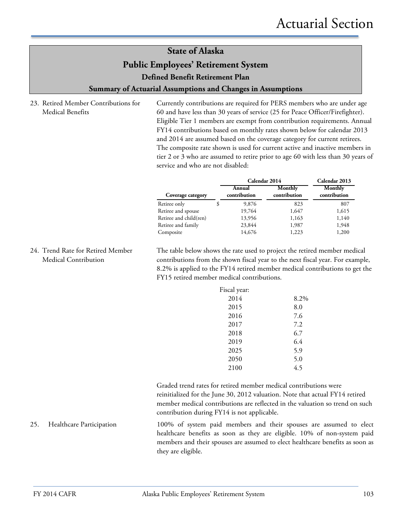**Public Employees' Retirement System**

**Defined Benefit Retirement Plan**

**Summary of Actuarial Assumptions and Changes in Assumptions**

23. Retired Member Contributions for Medical Benefits

Currently contributions are required for PERS members who are under age 60 and have less than 30 years of service (25 for Peace Officer/Firefighter). Eligible Tier 1 members are exempt from contribution requirements. Annual FY14 contributions based on monthly rates shown below for calendar 2013 and 2014 are assumed based on the coverage category for current retirees. The composite rate shown is used for current active and inactive members in tier 2 or 3 who are assumed to retire prior to age 60 with less than 30 years of service and who are not disabled:

|                        | Calendar 2014          |                         | Calendar 2013           |
|------------------------|------------------------|-------------------------|-------------------------|
| Coverage category      | Annual<br>contribution | Monthly<br>contribution | Monthly<br>contribution |
| Retiree only           | 9,876                  | 823                     | 807                     |
| Retiree and spouse     | 19,764                 | 1,647                   | 1,615                   |
| Retiree and child(ren) | 13,956                 | 1,163                   | 1,140                   |
| Retiree and family     | 23,844                 | 1,987                   | 1,948                   |
| Composite              | 14,676                 | 1,223                   | 1,200                   |

24. Trend Rate for Retired Member Medical Contribution

The table below shows the rate used to project the retired member medical contributions from the shown fiscal year to the next fiscal year. For example, 8.2% is applied to the FY14 retired member medical contributions to get the FY15 retired member medical contributions.

| Fiscal year: |      |
|--------------|------|
| 2014         | 8.2% |
| 2015         | 8.0  |
| 2016         | 7.6  |
| 2017         | 7.2  |
| 2018         | 6.7  |
| 2019         | 6.4  |
| 2025         | 5.9  |
| 2050         | 5.0  |
| 2100         | 4.5  |
|              |      |

Graded trend rates for retired member medical contributions were reinitialized for the June 30, 2012 valuation. Note that actual FY14 retired member medical contributions are reflected in the valuation so trend on such contribution during FY14 is not applicable.

25. Healthcare Participation 100% of system paid members and their spouses are assumed to elect healthcare benefits as soon as they are eligible. 10% of non-system paid members and their spouses are assumed to elect healthcare benefits as soon as they are eligible.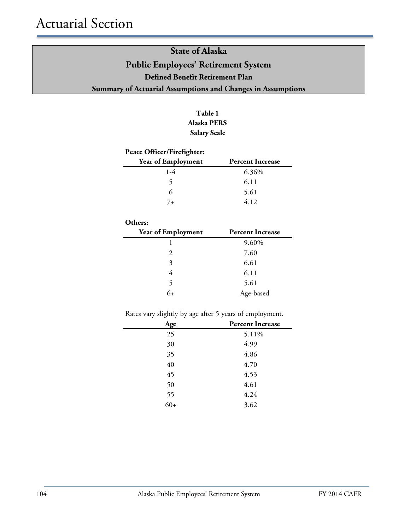#### **Table 1 Alaska PERS Salary Scale**

#### **Peace Officer/Firefighter:**

| Year of Employment | <b>Percent Increase</b> |
|--------------------|-------------------------|
| $1 - 4$            | 6.36%                   |
|                    | 6.11                    |
|                    | 5.61                    |
|                    | 4.12                    |

| Others:                   |                         |
|---------------------------|-------------------------|
| <b>Year of Employment</b> | <b>Percent Increase</b> |
|                           | 9.60%                   |
| 2                         | 7.60                    |
| 3                         | 6.61                    |
| 4                         | 6.11                    |
| 5                         | 5.61                    |
| 6+                        | Age-based               |

#### Rates vary slightly by age after 5 years of employment.

| Age   | <b>Percent Increase</b> |
|-------|-------------------------|
| 25    | 5.11%                   |
| 30    | 4.99                    |
| 35    | 4.86                    |
| 40    | 4.70                    |
| 45    | 4.53                    |
| 50    | 4.61                    |
| 55    | 4.24                    |
| $60+$ | 3.62                    |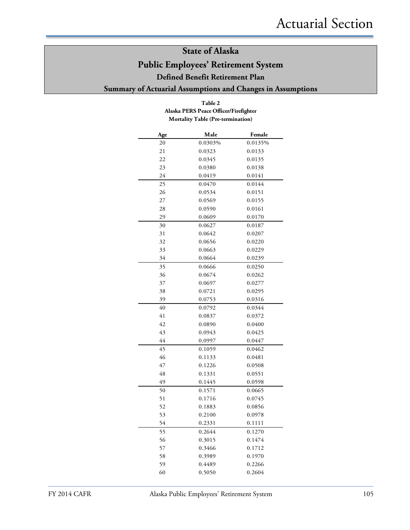## **Public Employees' Retirement System**

#### **Defined Benefit Retirement Plan**

**Summary of Actuarial Assumptions and Changes in Assumptions**

| Alaska PERS Peace Officer/Firefighter<br><b>Mortality Table (Pre-termination)</b> |         |         |  |
|-----------------------------------------------------------------------------------|---------|---------|--|
| Age                                                                               | Male    | Female  |  |
| 20                                                                                | 0.0303% | 0.0135% |  |
| 21                                                                                | 0.0323  | 0.0133  |  |
| 22                                                                                | 0.0345  | 0.0135  |  |
| 23                                                                                | 0.0380  | 0.0138  |  |
| 24                                                                                | 0.0419  | 0.0141  |  |
| 25                                                                                | 0.0470  | 0.0144  |  |
| 26                                                                                | 0.0534  | 0.0151  |  |
| 27                                                                                | 0.0569  | 0.0155  |  |
| 28                                                                                | 0.0590  | 0.0161  |  |
| 29                                                                                | 0.0609  | 0.0170  |  |
| 30                                                                                | 0.0627  | 0.0187  |  |
| 31                                                                                | 0.0642  | 0.0207  |  |
| 32                                                                                | 0.0656  | 0.0220  |  |
| 33                                                                                | 0.0663  | 0.0229  |  |
| 34                                                                                | 0.0664  | 0.0239  |  |
| 35                                                                                | 0.0666  | 0.0250  |  |
| 36                                                                                | 0.0674  | 0.0262  |  |
| 37                                                                                | 0.0697  | 0.0277  |  |
| 38                                                                                | 0.0721  | 0.0295  |  |
| 39                                                                                | 0.0753  | 0.0316  |  |
| 40                                                                                | 0.0792  | 0.0344  |  |
| 41                                                                                | 0.0837  | 0.0372  |  |
| 42                                                                                | 0.0890  | 0.0400  |  |
| 43                                                                                | 0.0943  | 0.0425  |  |
| 44                                                                                | 0.0997  | 0.0447  |  |
| 45                                                                                | 0.1059  | 0.0462  |  |
| 46                                                                                | 0.1133  | 0.0481  |  |
| 47                                                                                | 0.1226  | 0.0508  |  |
| 48                                                                                | 0.1331  | 0.0551  |  |
| 49                                                                                | 0.1445  | 0.0598  |  |
| 50                                                                                | 0.1571  | 0.0665  |  |
| 51                                                                                | 0.1716  | 0.0745  |  |
| 52                                                                                | 0.1883  | 0.0856  |  |
| 53                                                                                | 0.2100  | 0.0978  |  |
| 54                                                                                | 0.2331  | 0.1111  |  |
| 55                                                                                | 0.2644  | 0.1270  |  |
| 56                                                                                | 0.3015  | 0.1474  |  |
| 57                                                                                | 0.3466  | 0.1712  |  |
| 58                                                                                | 0.3989  | 0.1970  |  |
| 59                                                                                | 0.4489  | 0.2266  |  |
| 60                                                                                | 0.5050  | 0.2604  |  |

**Table 2**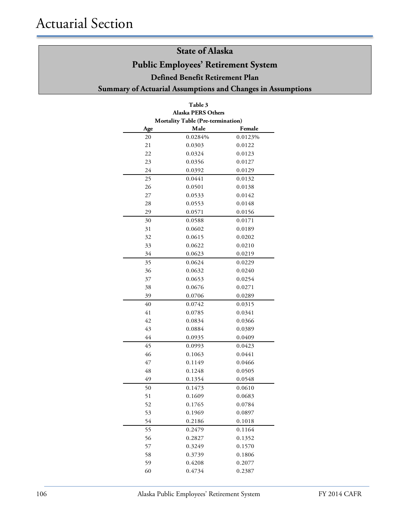# **State of Alaska Public Employees' Retirement System Defined Benefit Retirement Plan**

**Summary of Actuarial Assumptions and Changes in Assumptions**

| <b>Alaska PERS Others</b> |                                          |         |  |
|---------------------------|------------------------------------------|---------|--|
|                           | <b>Mortality Table (Pre-termination)</b> |         |  |
| Age                       | Male<br>Female                           |         |  |
| 20                        | 0.0284%                                  | 0.0123% |  |
| 21                        | 0.0303                                   | 0.0122  |  |
| 22                        | 0.0324                                   | 0.0123  |  |
| 23                        | 0.0356                                   | 0.0127  |  |
| 24                        | 0.0392                                   | 0.0129  |  |
| 25                        | 0.0441                                   | 0.0132  |  |
| 26                        | 0.0501                                   | 0.0138  |  |
| 27                        | 0.0533                                   | 0.0142  |  |
| 28                        | 0.0553                                   | 0.0148  |  |
| 29                        | 0.0571                                   | 0.0156  |  |
| 30                        | 0.0588                                   | 0.0171  |  |
| 31                        | 0.0602                                   | 0.0189  |  |
| 32                        | 0.0615                                   | 0.0202  |  |
| 33                        | 0.0622                                   | 0.0210  |  |
| 34                        | 0.0623                                   | 0.0219  |  |
| 35                        | 0.0624                                   | 0.0229  |  |
| 36                        | 0.0632                                   | 0.0240  |  |
| 37                        | 0.0653                                   | 0.0254  |  |
| 38                        | 0.0676                                   | 0.0271  |  |
| 39                        | 0.0706                                   | 0.0289  |  |
| 40                        | 0.0742                                   | 0.0315  |  |
| 41                        | 0.0785                                   | 0.0341  |  |
| 42                        | 0.0834                                   | 0.0366  |  |
| 43                        | 0.0884                                   | 0.0389  |  |
| 44                        | 0.0935                                   | 0.0409  |  |
| 45                        | 0.0993                                   | 0.0423  |  |
| 46                        | 0.1063                                   | 0.0441  |  |
| 47                        | 0.1149                                   | 0.0466  |  |
| 48                        | 0.1248                                   | 0.0505  |  |
| 49                        | 0.1354                                   | 0.0548  |  |
| 50                        | 0.1473                                   | 0.0610  |  |
| 51                        | 0.1609                                   | 0.0683  |  |
| 52                        | 0.1765                                   | 0.0784  |  |
| 53                        | 0.1969                                   | 0.0897  |  |
| 54                        | 0.2186                                   | 0.1018  |  |
| 55                        | 0.2479                                   | 0.1164  |  |
| 56                        | 0.2827                                   | 0.1352  |  |
| 57                        | 0.3249                                   | 0.1570  |  |
| 58                        | 0.3739                                   | 0.1806  |  |
| 59                        | 0.4208                                   | 0.2077  |  |
| 60                        | 0.4734                                   | 0.2387  |  |

# **Table 3**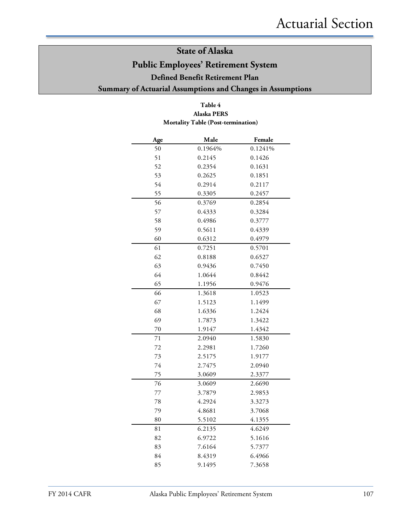#### **Table 4 Alaska PERS Mortality Table (Post-termination)**

| Age | Male    | Female  |
|-----|---------|---------|
| 50  | 0.1964% | 0.1241% |
| 51  | 0.2145  | 0.1426  |
| 52  | 0.2354  | 0.1631  |
| 53  | 0.2625  | 0.1851  |
| 54  | 0.2914  | 0.2117  |
| 55  | 0.3305  | 0.2457  |
| 56  | 0.3769  | 0.2854  |
| 57  | 0.4333  | 0.3284  |
| 58  | 0.4986  | 0.3777  |
| 59  | 0.5611  | 0.4339  |
| 60  | 0.6312  | 0.4979  |
| 61  | 0.7251  | 0.5701  |
| 62  | 0.8188  | 0.6527  |
| 63  | 0.9436  | 0.7450  |
| 64  | 1.0644  | 0.8442  |
| 65  | 1.1956  | 0.9476  |
| 66  | 1.3618  | 1.0523  |
| 67  | 1.5123  | 1.1499  |
| 68  | 1.6336  | 1.2424  |
| 69  | 1.7873  | 1.3422  |
| 70  | 1.9147  | 1.4342  |
| 71  | 2.0940  | 1.5830  |
| 72  | 2.2981  | 1.7260  |
| 73  | 2.5175  | 1.9177  |
| 74  | 2.7475  | 2.0940  |
| 75  | 3.0609  | 2.3377  |
| 76  | 3.0609  | 2.6690  |
| 77  | 3.7879  | 2.9853  |
| 78  | 4.2924  | 3.3273  |
| 79  | 4.8681  | 3.7068  |
| 80  | 5.5102  | 4.1355  |
| 81  | 6.2135  | 4.6249  |
| 82  | 6.9722  | 5.1616  |
| 83  | 7.6164  | 5.7377  |
| 84  | 8.4319  | 6.4966  |
| 85  | 9.1495  | 7.3658  |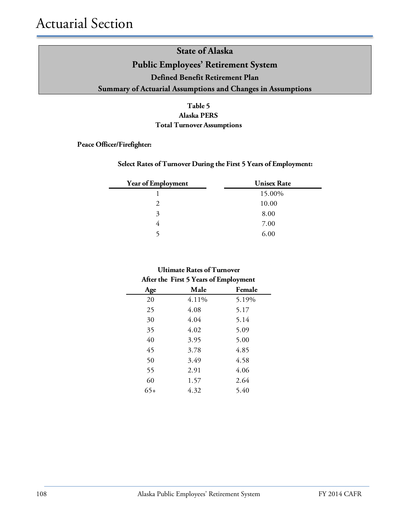#### **Table 5**

#### **Alaska PERS**

#### **Total Turnover Assumptions**

**Peace Officer/Firefighter:**

**Select Rates of Turnover During the First 5 Years of Employment:**

| Year of Employment | <b>Unisex Rate</b> |
|--------------------|--------------------|
|                    | 15.00%             |
| $\mathcal{D}$      | 10.00              |
| 3                  | 8.00               |
|                    | 7.00               |
|                    | 6.00               |

#### **Ultimate Rates of Turnover After the First 5 Years of Employment**

| Age | Male  | Female |
|-----|-------|--------|
| 20  | 4.11% | 5.19%  |
| 25  | 4.08  | 5.17   |
| 30  | 4.04  | 5.14   |
| 35  | 4.02  | 5.09   |
| 40  | 3.95  | 5.00   |
| 45  | 3.78  | 4.85   |
| 50  | 3.49  | 4.58   |
| 55  | 2.91  | 4.06   |
| 60  | 1.57  | 2.64   |
| 65+ | 4.32  | 5.40   |
|     |       |        |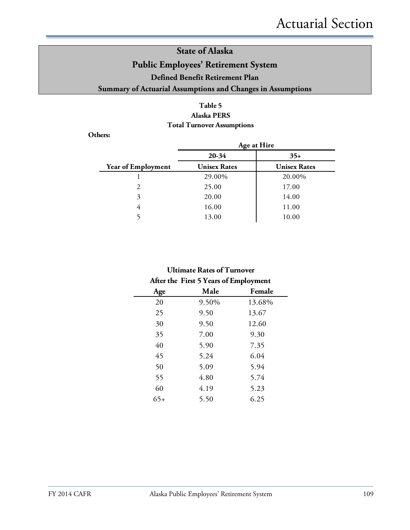# **State of Alaska Public Employees' Retirement System**

#### **Defined Benefit Retirement Plan**

#### **Summary of Actuarial Assumptions and Changes in Assumptions**

#### **Table 5 Alaska PERS Total Turnover Assumptions**

**Others:**

|                             | Age at Hire         |                     |  |
|-----------------------------|---------------------|---------------------|--|
|                             | 20-34               | $35+$               |  |
| <b>Year of Employment</b>   | <b>Unisex Rates</b> | <b>Unisex Rates</b> |  |
|                             | 29.00%              | 20.00%              |  |
| $\mathcal{D}_{\mathcal{L}}$ | 25.00               | 17.00               |  |
| 3                           | 20.00               | 14.00               |  |
| 4                           | 16.00               | 11.00               |  |
|                             | 13.00               | 10.00               |  |

#### **Ultimate Rates of Turnover After the First 5 Years of Employment**

| Age   | Male  | Female |
|-------|-------|--------|
| 20    | 9.50% | 13.68% |
| 25    | 9.50  | 13.67  |
| 30    | 9.50  | 12.60  |
| 35    | 7.00  | 9.30   |
| 40    | 5.90  | 7.35   |
| 45    | 5.24  | 6.04   |
| 50    | 5.09  | 5.94   |
| 55    | 4.80  | 5.74   |
| 60    | 4.19  | 5.23   |
| $65+$ | 5.50  | 6.25   |
|       |       |        |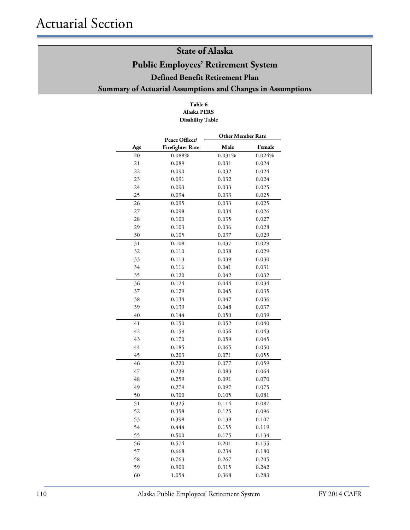#### **Table 6 Alaska PERS Disability Table**

|     | Peace Officer/   | <b>Other Member Rate</b> |        |
|-----|------------------|--------------------------|--------|
| Age | Firefighter Rate |                          | Female |
| 20  | 0.088%           | 0.031%                   | 0.024% |
| 21  | 0.089            | 0.031                    | 0.024  |
| 22  | 0.090            | 0.032                    | 0.024  |
| 23  | 0.091            | 0.032                    | 0.024  |
| 24  | 0.093            | 0.033                    | 0.025  |
| 25  | 0.094            | 0.033                    | 0.025  |
| 26  | 0.095            | 0.033                    | 0.025  |
| 27  | 0.098            | 0.034                    | 0.026  |
| 28  | 0.100            | 0.035                    | 0.027  |
| 29  | 0.103            | 0.036                    | 0.028  |
| 30  | 0.105            | 0.037                    | 0.029  |
| 31  | 0.108            | 0.037                    | 0.029  |
| 32  | 0.110            | 0.038                    | 0.029  |
| 33  | 0.113            | 0.039                    | 0.030  |
| 34  | 0.116            | 0.041                    | 0.031  |
| 35  | 0.120            | 0.042                    | 0.032  |
| 36  | 0.124            | 0.044                    | 0.034  |
| 37  | 0.129            | 0.045                    | 0.035  |
| 38  | 0.134            | 0.047                    | 0.036  |
| 39  | 0.139            | 0.048                    | 0.037  |
| 40  | 0.144            | 0.050                    | 0.039  |
| 41  | 0.150            | 0.052                    | 0.040  |
| 42  | 0.159            | 0.056                    | 0.043  |
| 43  | 0.170            | 0.059                    | 0.045  |
| 44  | 0.185            | 0.065                    | 0.050  |
| 45  | 0.203            | 0.071                    | 0.055  |
| 46  | 0.220            | 0.077                    | 0.059  |
| 47  | 0.239            | 0.083                    | 0.064  |
| 48  | 0.259            | 0.091                    | 0.070  |
| 49  | 0.279            | 0.097                    | 0.075  |
| 50  | 0.300            | 0.105                    | 0.081  |
| 51  | 0.325            | 0.114                    | 0.087  |
| 52  | 0.358            | 0.125                    | 0.096  |
| 53  | 0.398            | 0.139                    | 0.107  |
| 54  | 0.444            | 0.155                    | 0.119  |
| 55  | 0.500            | 0.175                    | 0.134  |
| 56  | 0.574            | 0.201                    | 0.155  |
| 57  | 0.668            | 0.234                    | 0.180  |
| 58  | 0.763            | 0.267                    | 0.205  |
| 59  | 0.900            | 0.315                    | 0.242  |
| 60  | 1.054            | 0.368                    | 0.283  |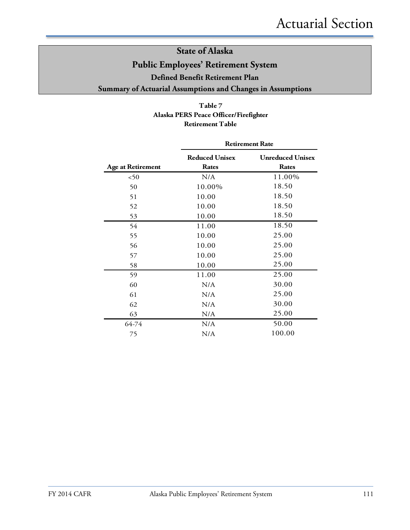#### **Table 7 Alaska PERS Peace Officer/Firefighter Retirement Table**

|                          | <b>Retirement Rate</b>         |                                  |  |
|--------------------------|--------------------------------|----------------------------------|--|
| <b>Age at Retirement</b> | <b>Reduced Unisex</b><br>Rates | <b>Unreduced Unisex</b><br>Rates |  |
| 50<                      | N/A                            | 11.00%                           |  |
| 50                       | 10.00%                         | 18.50                            |  |
| 51                       | 10.00                          | 18.50                            |  |
| 52                       | 10.00                          | 18.50                            |  |
| 53                       | 10.00                          | 18.50                            |  |
| 54                       | 11.00                          | 18.50                            |  |
| 55                       | 10.00                          | 25.00                            |  |
| 56                       | 10.00                          | 25.00                            |  |
| 57                       | 10.00                          | 25.00                            |  |
| 58                       | 10.00                          | 25.00                            |  |
| 59                       | 11.00                          | 25.00                            |  |
| 60                       | N/A                            | 30.00                            |  |
| 61                       | N/A                            | 25.00                            |  |
| 62                       | N/A                            | 30.00                            |  |
| 63                       | N/A                            | 25.00                            |  |
| 64-74                    | N/A                            | 50.00                            |  |
| 75                       | N/A                            | 100.00                           |  |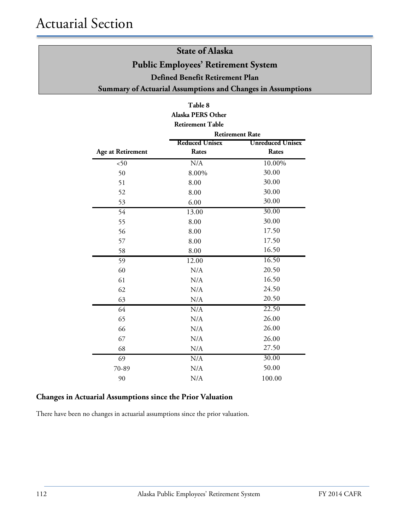|                          | l adie o                |                         |
|--------------------------|-------------------------|-------------------------|
|                          | Alaska PERS Other       |                         |
|                          | <b>Retirement Table</b> |                         |
|                          |                         | <b>Retirement Rate</b>  |
|                          | <b>Reduced Unisex</b>   | <b>Unreduced Unisex</b> |
| <b>Age at Retirement</b> | <b>Rates</b>            | <b>Rates</b>            |
| < 50                     | N/A                     | 10.00%                  |
| 50                       | 8.00%                   | 30.00                   |
| 51                       | 8.00                    | 30.00                   |
| 52                       | 8.00                    | 30.00                   |
| 53                       | 6.00                    | 30.00                   |
| 54                       | 13.00                   | 30.00                   |
| 55                       | 8.00                    | 30.00                   |
| 56                       | 8.00                    | 17.50                   |
| 57                       | 8.00                    | 17.50                   |
| 58                       | 8.00                    | 16.50                   |
| 59                       | 12.00                   | 16.50                   |
| 60                       | N/A                     | 20.50                   |
| 61                       | N/A                     | 16.50                   |
| 62                       | N/A                     | 24.50                   |
| 63                       | N/A                     | 20.50                   |
| 64                       | N/A                     | 22.50                   |
| 65                       | N/A                     | 26.00                   |
| 66                       | N/A                     | 26.00                   |
| 67                       | N/A                     | 26.00                   |
| 68                       | N/A                     | 27.50                   |
| 69                       | N/A                     | 30.00                   |
| 70-89                    | N/A                     | 50.00                   |
| 90                       | N/A                     | 100.00                  |

# **Table 8**

#### **Changes in Actuarial Assumptions since the Prior Valuation**

There have been no changes in actuarial assumptions since the prior valuation.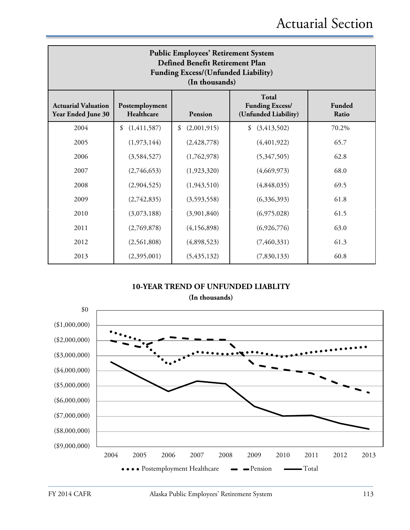| <b>Public Employees' Retirement System</b><br>Defined Benefit Retirement Plan<br><b>Funding Excess/(Unfunded Liability)</b><br>(In thousands)                                           |                     |                   |                     |       |
|-----------------------------------------------------------------------------------------------------------------------------------------------------------------------------------------|---------------------|-------------------|---------------------|-------|
| <b>Total</b><br><b>Funding Excess/</b><br><b>Actuarial Valuation</b><br>Funded<br>Postemployment<br>Healthcare<br>(Unfunded Liability)<br>Year Ended June 30<br><b>Pension</b><br>Ratio |                     |                   |                     |       |
| 2004                                                                                                                                                                                    | \$<br>(1, 411, 587) | (2,001,915)<br>\$ | (3, 413, 502)<br>\$ | 70.2% |
| 2005                                                                                                                                                                                    | (1,973,144)         | (2, 428, 778)     | (4, 401, 922)       | 65.7  |
| 2006                                                                                                                                                                                    | (3, 584, 527)       | (1,762,978)       | (5,347,505)         | 62.8  |
| 2007                                                                                                                                                                                    | (2,746,653)         | (1,923,320)       | (4,669,973)         | 68.0  |
| 2008                                                                                                                                                                                    | (2,904,525)         | (1,943,510)       | (4,848,035)         | 69.5  |
| 2009                                                                                                                                                                                    | (2,742,835)         | (3,593,558)       | (6,336,393)         | 61.8  |
| 2010                                                                                                                                                                                    | (3,073,188)         | (3,901,840)       | (6,975,028)         | 61.5  |
| 2011                                                                                                                                                                                    | (2,769,878)         | (4,156,898)       | (6,926,776)         | 63.0  |
| 2012                                                                                                                                                                                    | (2, 561, 808)       | (4,898,523)       | (7,460,331)         | 61.3  |
| 2013                                                                                                                                                                                    | (2,395,001)         | (5, 435, 132)     | (7,830,133)         | 60.8  |

# **10-YEAR TREND OF UNFUNDED LIABLITY**



**(In thousands)**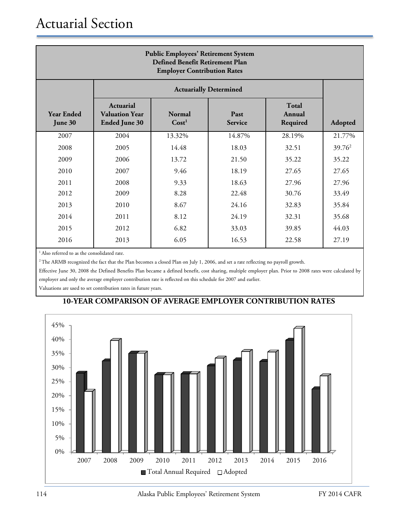| <b>Public Employees' Retirement System</b><br><b>Defined Benefit Retirement Plan</b><br><b>Employer Contribution Rates</b> |                                                                   |                             |                               |                             |           |  |  |  |  |
|----------------------------------------------------------------------------------------------------------------------------|-------------------------------------------------------------------|-----------------------------|-------------------------------|-----------------------------|-----------|--|--|--|--|
|                                                                                                                            |                                                                   |                             | <b>Actuarially Determined</b> |                             |           |  |  |  |  |
| <b>Year Ended</b><br>June 30                                                                                               | <b>Actuarial</b><br><b>Valuation Year</b><br><b>Ended June 30</b> | Normal<br>Cost <sup>1</sup> | Past<br><b>Service</b>        | Total<br>Annual<br>Required | Adopted   |  |  |  |  |
| 2007                                                                                                                       | 2004                                                              | 13.32%                      | 14.87%                        | 28.19%                      | 21.77%    |  |  |  |  |
| 2008                                                                                                                       | 2005                                                              | 14.48                       | 18.03                         | 32.51                       | $39.76^2$ |  |  |  |  |
| 2009                                                                                                                       | 2006                                                              | 13.72                       | 21.50                         | 35.22                       | 35.22     |  |  |  |  |
| 2010                                                                                                                       | 2007                                                              | 9.46                        | 18.19                         | 27.65                       | 27.65     |  |  |  |  |
| 2011                                                                                                                       | 2008                                                              | 9.33                        | 18.63                         | 27.96                       | 27.96     |  |  |  |  |
| 2012                                                                                                                       | 2009                                                              | 8.28                        | 22.48                         | 30.76                       | 33.49     |  |  |  |  |
| 2013                                                                                                                       | 2010                                                              | 8.67                        | 24.16                         | 32.83                       | 35.84     |  |  |  |  |
| 2014                                                                                                                       | 2011                                                              | 8.12                        | 24.19                         | 32.31                       | 35.68     |  |  |  |  |
| 2015                                                                                                                       | 2012                                                              | 6.82                        | 33.03                         | 39.85                       | 44.03     |  |  |  |  |
| 2016                                                                                                                       | 2013                                                              | 6.05                        | 16.53                         | 22.58                       | 27.19     |  |  |  |  |

<sup>1</sup> Also referred to as the consolidated rate.

<sup>2</sup> The ARMB recognized the fact that the Plan becomes a closed Plan on July 1, 2006, and set a rate reflecting no payroll growth.

Effective June 30, 2008 the Defined Benefits Plan became a defined benefit, cost sharing, multiple employer plan. Prior to 2008 rates were calculated by employer and only the average employer contribution rate is reflected on this schedule for 2007 and earlier.

Valuations are used to set contribution rates in future years.



#### **10-YEAR COMPARISON OF AVERAGE EMPLOYER CONTRIBUTION RATES**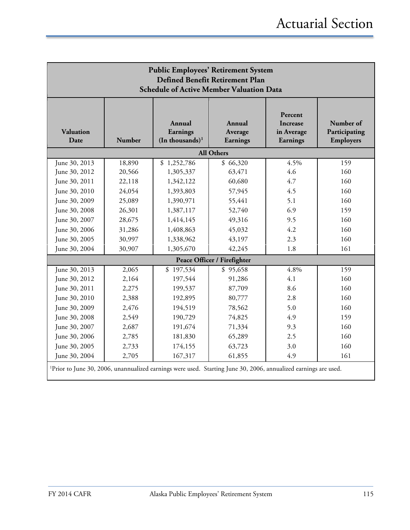| <b>Public Employees' Retirement System</b><br>Defined Benefit Retirement Plan<br><b>Schedule of Active Member Valuation Data</b> |        |                                                     |                                                                                                                             |                                               |                                         |  |  |  |
|----------------------------------------------------------------------------------------------------------------------------------|--------|-----------------------------------------------------|-----------------------------------------------------------------------------------------------------------------------------|-----------------------------------------------|-----------------------------------------|--|--|--|
| Valuation<br>Date                                                                                                                | Number | Annual<br>Earnings<br>$(In$ thousands) <sup>1</sup> | Annual<br>Average<br>Earnings                                                                                               | Percent<br>Increase<br>in Average<br>Earnings | Number of<br>Participating<br>Employers |  |  |  |
|                                                                                                                                  |        |                                                     | <b>All Others</b>                                                                                                           |                                               |                                         |  |  |  |
| June 30, 2013                                                                                                                    | 18,890 | \$1,252,786                                         | \$66,320                                                                                                                    | 4.5%                                          | 159                                     |  |  |  |
| June 30, 2012                                                                                                                    | 20,566 | 1,305,337                                           | 63,471                                                                                                                      | 4.6                                           | 160                                     |  |  |  |
| June 30, 2011                                                                                                                    | 22,118 | 1,342,122                                           | 60,680                                                                                                                      | 4.7                                           | 160                                     |  |  |  |
| June 30, 2010                                                                                                                    | 24,054 | 1,393,803                                           | 57,945                                                                                                                      | 4.5                                           | 160                                     |  |  |  |
| June 30, 2009                                                                                                                    | 25,089 | 1,390,971                                           | 55,441                                                                                                                      | 5.1                                           | 160                                     |  |  |  |
| June 30, 2008                                                                                                                    | 26,301 | 1,387,117                                           | 52,740                                                                                                                      | 6.9                                           | 159                                     |  |  |  |
| June 30, 2007                                                                                                                    | 28,675 | 1,414,145                                           | 49,316                                                                                                                      | 9.5                                           | 160                                     |  |  |  |
| June 30, 2006                                                                                                                    | 31,286 | 1,408,863                                           | 45,032                                                                                                                      | 4.2                                           | 160                                     |  |  |  |
| June 30, 2005                                                                                                                    | 30,997 | 1,338,962                                           | 43,197                                                                                                                      | 2.3                                           | 160                                     |  |  |  |
| June 30, 2004                                                                                                                    | 30,907 | 1,305,670                                           | 42,245                                                                                                                      | 1.8                                           | 161                                     |  |  |  |
|                                                                                                                                  |        |                                                     | Peace Officer / Firefighter                                                                                                 |                                               |                                         |  |  |  |
| June 30, 2013                                                                                                                    | 2,065  | \$197,534                                           | \$95,658                                                                                                                    | 4.8%                                          | 159                                     |  |  |  |
| June 30, 2012                                                                                                                    | 2,164  | 197,544                                             | 91,286                                                                                                                      | 4.1                                           | 160                                     |  |  |  |
| June 30, 2011                                                                                                                    | 2,275  | 199,537                                             | 87,709                                                                                                                      | 8.6                                           | 160                                     |  |  |  |
| June 30, 2010                                                                                                                    | 2,388  | 192,895                                             | 80,777                                                                                                                      | 2.8                                           | 160                                     |  |  |  |
| June 30, 2009                                                                                                                    | 2,476  | 194,519                                             | 78,562                                                                                                                      | 5.0                                           | 160                                     |  |  |  |
| June 30, 2008                                                                                                                    | 2,549  | 190,729                                             | 74,825                                                                                                                      | 4.9                                           | 159                                     |  |  |  |
| June 30, 2007                                                                                                                    | 2,687  | 191,674                                             | 71,334                                                                                                                      | 9.3                                           | 160                                     |  |  |  |
| June 30, 2006                                                                                                                    | 2,785  | 181,830                                             | 65,289                                                                                                                      | 2.5                                           | 160                                     |  |  |  |
| June 30, 2005                                                                                                                    | 2,733  | 174,155                                             | 63,723                                                                                                                      | 3.0                                           | 160                                     |  |  |  |
| June 30, 2004                                                                                                                    | 2,705  | 167,317                                             | 61,855                                                                                                                      | 4.9                                           | 161                                     |  |  |  |
|                                                                                                                                  |        |                                                     | <sup>1</sup> Prior to June 30, 2006, unannualized earnings were used. Starting June 30, 2006, annualized earnings are used. |                                               |                                         |  |  |  |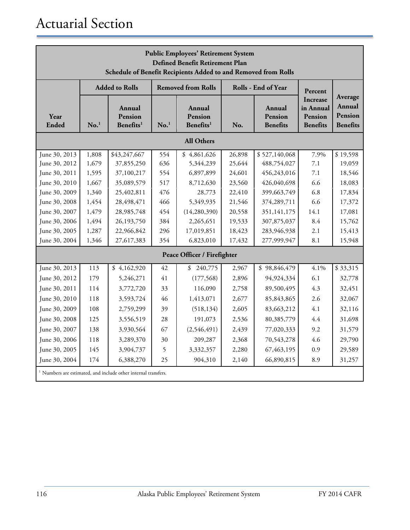# Actuarial Section

| <b>Public Employees' Retirement System</b><br><b>Defined Benefit Retirement Plan</b><br>Schedule of Benefit Recipients Added to and Removed from Rolls |                   |                                                                           |                  |                                            |        |                                      |                                                            |                                                 |  |  |  |
|--------------------------------------------------------------------------------------------------------------------------------------------------------|-------------------|---------------------------------------------------------------------------|------------------|--------------------------------------------|--------|--------------------------------------|------------------------------------------------------------|-------------------------------------------------|--|--|--|
|                                                                                                                                                        |                   | <b>Added to Rolls</b>                                                     |                  | <b>Removed from Rolls</b>                  |        | Rolls - End of Year                  | Percent                                                    |                                                 |  |  |  |
| Year<br><b>Ended</b>                                                                                                                                   | No. <sup>1</sup>  | Annual<br>Pension<br>Benefits <sup>1</sup>                                | No. <sup>1</sup> | Annual<br>Pension<br>Benefits <sup>1</sup> | No.    | Annual<br>Pension<br><b>Benefits</b> | <b>Increase</b><br>in Annual<br>Pension<br><b>Benefits</b> | Average<br>Annual<br>Pension<br><b>Benefits</b> |  |  |  |
|                                                                                                                                                        | <b>All Others</b> |                                                                           |                  |                                            |        |                                      |                                                            |                                                 |  |  |  |
| June 30, 2013                                                                                                                                          | 1,808             | \$43,247,667                                                              | 554              | \$4,861,626                                | 26,898 | \$527,140,068                        | 7.9%                                                       | \$19,598                                        |  |  |  |
| June 30, 2012                                                                                                                                          | 1,679             | 37,855,250                                                                | 636              | 5,344,239                                  | 25,644 | 488,754,027                          | 7.1                                                        | 19,059                                          |  |  |  |
| June 30, 2011                                                                                                                                          | 1,595             | 37,100,217                                                                | 554              | 6,897,899                                  | 24,601 | 456,243,016                          | 7.1                                                        | 18,546                                          |  |  |  |
| June 30, 2010                                                                                                                                          | 1,667             | 35,089,579                                                                | 517              | 8,712,630                                  | 23,560 | 426,040,698                          | 6.6                                                        | 18,083                                          |  |  |  |
| June 30, 2009                                                                                                                                          | 1,340             | 25,402,811                                                                | 476              | 28,773                                     | 22,410 | 399,663,749                          | 6.8                                                        | 17,834                                          |  |  |  |
| June 30, 2008                                                                                                                                          | 1,454             | 28,498,471                                                                | 466              | 5,349,935                                  | 21,546 | 374,289,711                          | 6.6                                                        | 17,372                                          |  |  |  |
| June 30, 2007                                                                                                                                          | 1,479             | 28,985,748                                                                | 454              | (14, 280, 390)                             | 20,558 | 351,141,175                          | 14.1                                                       | 17,081                                          |  |  |  |
| June 30, 2006                                                                                                                                          | 1,494             | 26,193,750                                                                | 384              | 2,265,651                                  | 19,533 | 307,875,037                          | 8.4                                                        | 15,762                                          |  |  |  |
| June 30, 2005                                                                                                                                          | 1,287             | 22,966,842                                                                | 296              | 17,019,851                                 | 18,423 | 283,946,938                          | 2.1                                                        | 15,413                                          |  |  |  |
| June 30, 2004                                                                                                                                          | 1,346             | 27,617,383                                                                | 354              | 6,823,010                                  | 17,432 | 277,999,947                          | 8.1                                                        | 15,948                                          |  |  |  |
|                                                                                                                                                        |                   |                                                                           |                  | Peace Officer / Firefighter                |        |                                      |                                                            |                                                 |  |  |  |
| June 30, 2013                                                                                                                                          | 113               | \$4,162,920                                                               | 42               | \$240,775                                  | 2,967  | \$98,846,479                         | 4.1%                                                       | \$33,315                                        |  |  |  |
| June 30, 2012                                                                                                                                          | 179               | 5,246,271                                                                 | 41               | (177, 568)                                 | 2,896  | 94,924,334                           | 6.1                                                        | 32,778                                          |  |  |  |
| June 30, 2011                                                                                                                                          | 114               | 3,772,720                                                                 | 33               | 116,090                                    | 2,758  | 89,500,495                           | 4.3                                                        | 32,451                                          |  |  |  |
| June 30, 2010                                                                                                                                          | 118               | 3,593,724                                                                 | 46               | 1,413,071                                  | 2,677  | 85,843,865                           | 2.6                                                        | 32,067                                          |  |  |  |
| June 30, 2009                                                                                                                                          | 108               | 2,759,299                                                                 | 39               | (518, 134)                                 | 2,605  | 83,663,212                           | 4.1                                                        | 32,116                                          |  |  |  |
| June 30, 2008                                                                                                                                          | 125               | 3,556,519                                                                 | 28               | 191,073                                    | 2,536  | 80,385,779                           | 4.4                                                        | 31,698                                          |  |  |  |
| June 30, 2007                                                                                                                                          | 138               | 3,930,564                                                                 | 67               | (2,546,491)                                | 2,439  | 77,020,333                           | 9.2                                                        | 31,579                                          |  |  |  |
| June 30, 2006                                                                                                                                          | 118               | 3,289,370                                                                 | 30               | 209,287                                    | 2,368  | 70,543,278                           | 4.6                                                        | 29,790                                          |  |  |  |
| June 30, 2005                                                                                                                                          | 145               | 3,904,737                                                                 | 5                | 3,332,357                                  | 2,280  | 67,463,195                           | 0.9                                                        | 29,589                                          |  |  |  |
| June 30, 2004                                                                                                                                          | 174               | 6,388,270                                                                 | 25               | 904,310                                    | 2,140  | 66,890,815                           | 8.9                                                        | 31,257                                          |  |  |  |
|                                                                                                                                                        |                   | <sup>1</sup> Numbers are estimated, and include other internal transfers. |                  |                                            |        |                                      |                                                            |                                                 |  |  |  |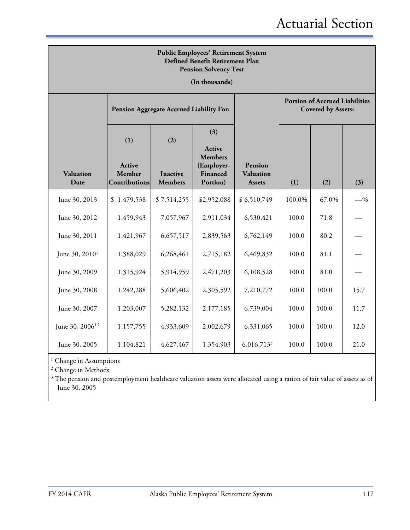| <b>Public Employees' Retirement System</b><br>Defined Benefit Retirement Plan<br><b>Pension Solvency Test</b> |                                                            |                                                                                                                   |             |                                              |        |                                                                    |       |  |  |  |
|---------------------------------------------------------------------------------------------------------------|------------------------------------------------------------|-------------------------------------------------------------------------------------------------------------------|-------------|----------------------------------------------|--------|--------------------------------------------------------------------|-------|--|--|--|
|                                                                                                               | (In thousands)<br>Pension Aggregate Accrued Liability For: |                                                                                                                   |             |                                              |        | <b>Portion of Accrued Liabilities</b><br><b>Covered by Assets:</b> |       |  |  |  |
| Valuation<br>Date                                                                                             | (1)<br><b>Active</b><br>Member<br><b>Contributions</b>     | (3)<br>(2)<br>Active<br><b>Members</b><br>(Employer-<br>Financed<br><b>Inactive</b><br><b>Members</b><br>Portion) |             | Pension<br><b>Valuation</b><br><b>Assets</b> | (1)    | (2)                                                                | (3)   |  |  |  |
| June 30, 2013                                                                                                 | \$1,479,538                                                | \$7,514,255                                                                                                       | \$2,952,088 | \$6,510,749                                  | 100.0% | 67.0%                                                              | $-$ % |  |  |  |
| June 30, 2012                                                                                                 | 1,459,943                                                  | 7,057,967                                                                                                         | 2,911,034   | 6,530,421                                    | 100.0  | 71.8                                                               |       |  |  |  |
| June 30, 2011                                                                                                 | 1,421,967                                                  | 6,657,517                                                                                                         | 2,839,563   | 6,762,149                                    | 100.0  | 80.2                                                               |       |  |  |  |
| June 30, 2010 <sup>1</sup>                                                                                    | 1,388,029                                                  | 6,268,461                                                                                                         | 2,715,182   | 6,469,832                                    | 100.0  | 81.1                                                               |       |  |  |  |
| June 30, 2009                                                                                                 | 1,315,924                                                  | 5,914,959                                                                                                         | 2,471,203   | 6,108,528                                    | 100.0  | 81.0                                                               |       |  |  |  |
| June 30, 2008                                                                                                 | 1,242,288                                                  | 5,606,402                                                                                                         | 2,305,592   | 7,210,772                                    | 100.0  | 100.0                                                              | 15.7  |  |  |  |
| June 30, 2007                                                                                                 | 1,203,007                                                  | 5,282,132                                                                                                         | 2,177,185   | 6,739,004                                    | 100.0  | 100.0                                                              | 11.7  |  |  |  |
| June 30, 2006 <sup>12</sup>                                                                                   | 1,157,755                                                  | 4,933,609                                                                                                         | 2,002,679   | 6,331,065                                    | 100.0  | 100.0                                                              | 12.0  |  |  |  |
| June 30, 2005                                                                                                 | 1,104,821                                                  | 4,627,467                                                                                                         | 1,354,903   | 6,016,713 <sup>3</sup>                       | 100.0  | 100.0                                                              | 21.0  |  |  |  |

<sup>1</sup> Change in Assumptions

<sup>2</sup> Change in Methods

<sup>3</sup> The pension and postemployment healthcare valuation assets were allocated using a ration of fair value of assets as of June 30, 2005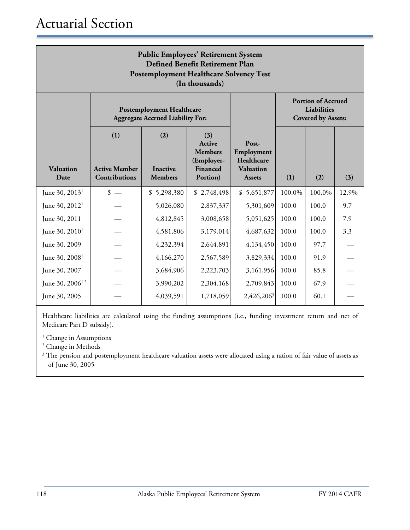| <b>Public Employees' Retirement System</b><br>Defined Benefit Retirement Plan<br><b>Postemployment Healthcare Solvency Test</b><br>(In thousands) |                                                                             |                                                                                                                          |             |                                                                        |        |                                                                       |       |  |  |  |
|---------------------------------------------------------------------------------------------------------------------------------------------------|-----------------------------------------------------------------------------|--------------------------------------------------------------------------------------------------------------------------|-------------|------------------------------------------------------------------------|--------|-----------------------------------------------------------------------|-------|--|--|--|
|                                                                                                                                                   | <b>Postemployment Healthcare</b><br><b>Aggregate Accrued Liability For:</b> |                                                                                                                          |             |                                                                        |        | <b>Portion of Accrued</b><br>Liabilities<br><b>Covered by Assets:</b> |       |  |  |  |
| Valuation<br>Date                                                                                                                                 | (1)<br><b>Active Member</b><br><b>Contributions</b>                         | (2)<br>(3)<br><b>Active</b><br><b>Members</b><br>(Employer-<br><b>Inactive</b><br>Financed<br><b>Members</b><br>Portion) |             | Post-<br>Employment<br>Healthcare<br><b>Valuation</b><br><b>Assets</b> | (1)    | (2)                                                                   | (3)   |  |  |  |
| June 30, $2013^1$                                                                                                                                 | $\frac{\text{I}}{\text{I}}$                                                 | \$5,298,380                                                                                                              | \$2,748,498 | \$5,651,877                                                            | 100.0% | 100.0%                                                                | 12.9% |  |  |  |
| June 30, 2012 <sup>1</sup>                                                                                                                        |                                                                             | 5,026,080                                                                                                                | 2,837,337   | 5,301,609                                                              | 100.0  | 100.0                                                                 | 9.7   |  |  |  |
| June 30, 2011                                                                                                                                     |                                                                             | 4,812,845                                                                                                                | 3,008,658   | 5,051,625                                                              | 100.0  | 100.0                                                                 | 7.9   |  |  |  |
| June 30, $2010^1$                                                                                                                                 |                                                                             | 4,581,806                                                                                                                | 3,179,014   | 4,687,632                                                              | 100.0  | 100.0                                                                 | 3.3   |  |  |  |
| June 30, 2009                                                                                                                                     |                                                                             | 4,232,394                                                                                                                | 2,644,891   | 4,134,450                                                              | 100.0  | 97.7                                                                  |       |  |  |  |
| June 30, $2008^1$                                                                                                                                 |                                                                             | 4,166,270                                                                                                                | 2,567,589   | 3,829,334                                                              | 100.0  | 91.9                                                                  |       |  |  |  |
| June 30, 2007                                                                                                                                     |                                                                             | 3,684,906                                                                                                                | 2,223,703   | 3,161,956                                                              | 100.0  | 85.8                                                                  |       |  |  |  |
| June 30, 2006 <sup>12</sup>                                                                                                                       |                                                                             | 3,990,202                                                                                                                | 2,304,168   | 2,709,843                                                              | 100.0  | 67.9                                                                  |       |  |  |  |
| June 30, 2005                                                                                                                                     |                                                                             | 4,039,591                                                                                                                | 1,718,059   | 2,426,206 <sup>3</sup>                                                 | 100.0  | 60.1                                                                  |       |  |  |  |

Healthcare liabilities are calculated using the funding assumptions (i.e., funding investment return and net of Medicare Part D subsidy).

<sup>1</sup> Change in Assumptions

<sup>2</sup> Change in Methods

<sup>3</sup> The pension and postemployment healthcare valuation assets were allocated using a ration of fair value of assets as of June 30, 2005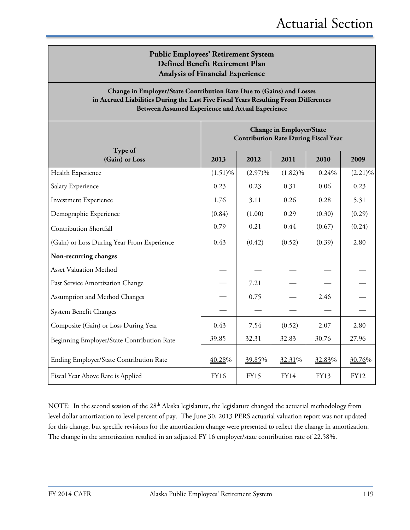#### **Public Employees' Retirement System Defined Benefit Retirement Plan Analysis of Financial Experience**

#### **Change in Employer/State Contribution Rate Due to (Gains) and Losses in Accrued Liabilities During the Last Five Fiscal Years Resulting From Differences Between Assumed Experience and Actual Experience**

|                                            | <b>Change in Employer/State</b><br><b>Contribution Rate During Fiscal Year</b> |             |            |        |             |  |  |  |
|--------------------------------------------|--------------------------------------------------------------------------------|-------------|------------|--------|-------------|--|--|--|
| Type of<br>(Gain) or Loss                  | 2013                                                                           | 2012        | 2011       | 2010   | 2009        |  |  |  |
| Health Experience                          | $(1.51)\%$                                                                     | $(2.97)\%$  | $(1.82)\%$ | 0.24%  | $(2.21)\%$  |  |  |  |
| Salary Experience                          | 0.23                                                                           | 0.23        | 0.31       | 0.06   | 0.23        |  |  |  |
| <b>Investment Experience</b>               | 1.76                                                                           | 3.11        | 0.26       | 0.28   | 5.31        |  |  |  |
| Demographic Experience                     | (0.84)                                                                         | (1.00)      | 0.29       | (0.30) | (0.29)      |  |  |  |
| <b>Contribution Shortfall</b>              | 0.79                                                                           | 0.21        | 0.44       | (0.67) | (0.24)      |  |  |  |
| (Gain) or Loss During Year From Experience | 0.43                                                                           | (0.42)      | (0.52)     | (0.39) | 2.80        |  |  |  |
| Non-recurring changes                      |                                                                                |             |            |        |             |  |  |  |
| <b>Asset Valuation Method</b>              |                                                                                |             |            |        |             |  |  |  |
| Past Service Amortization Change           |                                                                                | 7.21        |            |        |             |  |  |  |
| Assumption and Method Changes              |                                                                                | 0.75        |            | 2.46   |             |  |  |  |
| System Benefit Changes                     |                                                                                |             |            |        |             |  |  |  |
| Composite (Gain) or Loss During Year       | 0.43                                                                           | 7.54        | (0.52)     | 2.07   | 2.80        |  |  |  |
| Beginning Employer/State Contribution Rate | 39.85                                                                          | 32.31       | 32.83      | 30.76  | 27.96       |  |  |  |
| Ending Employer/State Contribution Rate    | 40.28%                                                                         | 39.85%      | 32.31%     | 32.83% | 30.76%      |  |  |  |
| Fiscal Year Above Rate is Applied          | <b>FY16</b>                                                                    | <b>FY15</b> | FY14       | FY13   | <b>FY12</b> |  |  |  |

NOTE: In the second session of the 28<sup>th</sup> Alaska legislature, the legislature changed the actuarial methodology from level dollar amortization to level percent of pay. The June 30, 2013 PERS actuarial valuation report was not updated for this change, but specific revisions for the amortization change were presented to reflect the change in amortization. The change in the amortization resulted in an adjusted FY 16 employer/state contribution rate of 22.58%.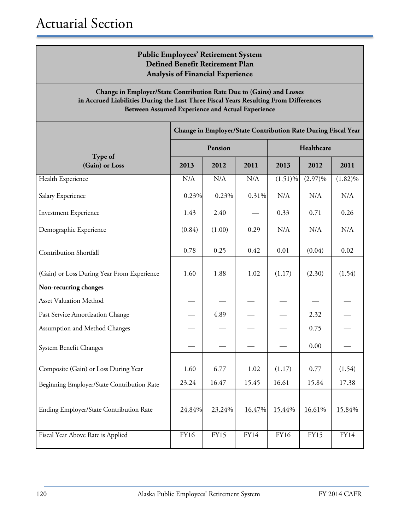| <b>Public Employees' Retirement System</b> |
|--------------------------------------------|
| Defined Benefit Retirement Plan            |
| <b>Analysis of Financial Experience</b>    |

#### **Change in Employer/State Contribution Rate Due to (Gains) and Losses in Accrued Liabilities During the Last Three Fiscal Years Resulting From Differences Between Assumed Experience and Actual Experience**

|                                            | Change in Employer/State Contribution Rate During Fiscal Year |             |        |             |             |             |  |
|--------------------------------------------|---------------------------------------------------------------|-------------|--------|-------------|-------------|-------------|--|
|                                            |                                                               | Pension     |        | Healthcare  |             |             |  |
| Type of<br>(Gain) or Loss                  | 2013                                                          | 2012        | 2011   | 2013        | 2012        | 2011        |  |
| Health Experience                          | N/A                                                           | N/A         | N/A    | $(1.51)\%$  | $(2.97)\%$  | $(1.82)\%$  |  |
| Salary Experience                          | 0.23%                                                         | 0.23%       | 0.31%  | N/A         | N/A         | N/A         |  |
| <b>Investment Experience</b>               | 1.43                                                          | 2.40        |        | 0.33        | 0.71        | 0.26        |  |
| Demographic Experience                     | (0.84)                                                        | (1.00)      | 0.29   | N/A         | N/A         | N/A         |  |
| <b>Contribution Shortfall</b>              | 0.78                                                          | 0.25        | 0.42   | 0.01        | (0.04)      | 0.02        |  |
| (Gain) or Loss During Year From Experience | 1.60                                                          | 1.88        | 1.02   | (1.17)      | (2.30)      | (1.54)      |  |
| Non-recurring changes                      |                                                               |             |        |             |             |             |  |
| <b>Asset Valuation Method</b>              |                                                               |             |        |             |             |             |  |
| Past Service Amortization Change           |                                                               | 4.89        |        |             | 2.32        |             |  |
| Assumption and Method Changes              |                                                               |             |        |             | 0.75        |             |  |
| System Benefit Changes                     |                                                               |             |        |             | 0.00        |             |  |
| Composite (Gain) or Loss During Year       | 1.60                                                          | 6.77        | 1.02   | (1.17)      | 0.77        | (1.54)      |  |
| Beginning Employer/State Contribution Rate | 23.24                                                         | 16.47       | 15.45  | 16.61       | 15.84       | 17.38       |  |
|                                            |                                                               |             |        |             |             |             |  |
| Ending Employer/State Contribution Rate    | 24.84%                                                        | 23.24%      | 16.47% | 15.44%      | 16.61%      | 15.84%      |  |
| Fiscal Year Above Rate is Applied          | <b>FY16</b>                                                   | <b>FY15</b> | FY14   | <b>FY16</b> | <b>FY15</b> | <b>FY14</b> |  |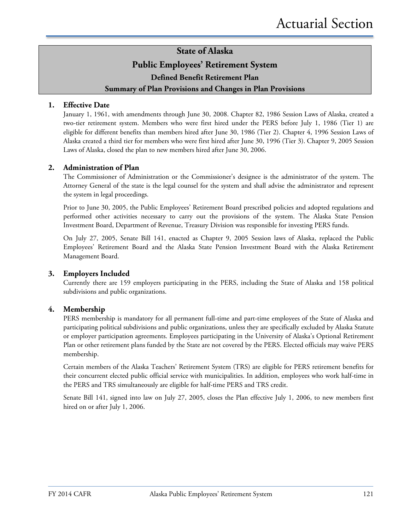## **Public Employees' Retirement System**

**Defined Benefit Retirement Plan**

#### **Summary of Plan Provisions and Changes in Plan Provisions**

#### **1. Effective Date**

January 1, 1961, with amendments through June 30, 2008. Chapter 82, 1986 Session Laws of Alaska, created a two-tier retirement system. Members who were first hired under the PERS before July 1, 1986 (Tier 1) are eligible for different benefits than members hired after June 30, 1986 (Tier 2). Chapter 4, 1996 Session Laws of Alaska created a third tier for members who were first hired after June 30, 1996 (Tier 3). Chapter 9, 2005 Session Laws of Alaska, closed the plan to new members hired after June 30, 2006.

#### **2. Administration of Plan**

The Commissioner of Administration or the Commissioner's designee is the administrator of the system. The Attorney General of the state is the legal counsel for the system and shall advise the administrator and represent the system in legal proceedings.

Prior to June 30, 2005, the Public Employees' Retirement Board prescribed policies and adopted regulations and performed other activities necessary to carry out the provisions of the system. The Alaska State Pension Investment Board, Department of Revenue, Treasury Division was responsible for investing PERS funds.

On July 27, 2005, Senate Bill 141, enacted as Chapter 9, 2005 Session laws of Alaska, replaced the Public Employees' Retirement Board and the Alaska State Pension Investment Board with the Alaska Retirement Management Board.

#### **3. Employers Included**

Currently there are 159 employers participating in the PERS, including the State of Alaska and 158 political subdivisions and public organizations.

#### **4. Membership**

PERS membership is mandatory for all permanent full-time and part-time employees of the State of Alaska and participating political subdivisions and public organizations, unless they are specifically excluded by Alaska Statute or employer participation agreements. Employees participating in the University of Alaska's Optional Retirement Plan or other retirement plans funded by the State are not covered by the PERS. Elected officials may waive PERS membership.

Certain members of the Alaska Teachers' Retirement System (TRS) are eligible for PERS retirement benefits for their concurrent elected public official service with municipalities. In addition, employees who work half-time in the PERS and TRS simultaneously are eligible for half-time PERS and TRS credit.

Senate Bill 141, signed into law on July 27, 2005, closes the Plan effective July 1, 2006, to new members first hired on or after July 1, 2006.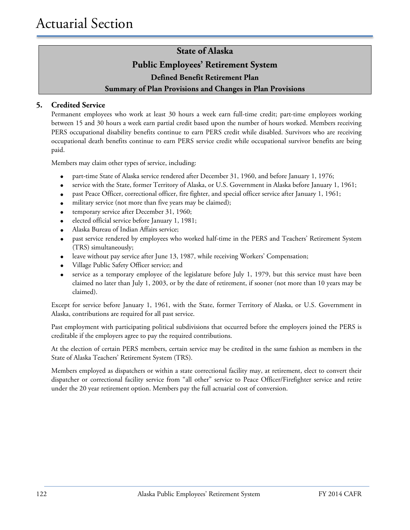# **State of Alaska Public Employees' Retirement System Defined Benefit Retirement Plan Summary of Plan Provisions and Changes in Plan Provisions**

#### **5. Credited Service**

Permanent employees who work at least 30 hours a week earn full-time credit; part-time employees working between 15 and 30 hours a week earn partial credit based upon the number of hours worked. Members receiving PERS occupational disability benefits continue to earn PERS credit while disabled. Survivors who are receiving occupational death benefits continue to earn PERS service credit while occupational survivor benefits are being paid.

Members may claim other types of service, including:

- part-time State of Alaska service rendered after December 31, 1960, and before January 1, 1976;
- service with the State, former Territory of Alaska, or U.S. Government in Alaska before January 1, 1961;
- past Peace Officer, correctional officer, fire fighter, and special officer service after January 1, 1961;
- military service (not more than five years may be claimed);
- temporary service after December 31, 1960;
- elected official service before January 1, 1981;
- Alaska Bureau of Indian Affairs service;
- past service rendered by employees who worked half-time in the PERS and Teachers' Retirement System (TRS) simultaneously;
- leave without pay service after June 13, 1987, while receiving Workers' Compensation;
- Village Public Safety Officer service; and
- service as a temporary employee of the legislature before July 1, 1979, but this service must have been claimed no later than July 1, 2003, or by the date of retirement, if sooner (not more than 10 years may be claimed).

Except for service before January 1, 1961, with the State, former Territory of Alaska, or U.S. Government in Alaska, contributions are required for all past service.

Past employment with participating political subdivisions that occurred before the employers joined the PERS is creditable if the employers agree to pay the required contributions.

At the election of certain PERS members, certain service may be credited in the same fashion as members in the State of Alaska Teachers' Retirement System (TRS).

Members employed as dispatchers or within a state correctional facility may, at retirement, elect to convert their dispatcher or correctional facility service from "all other" service to Peace Officer/Firefighter service and retire under the 20 year retirement option. Members pay the full actuarial cost of conversion.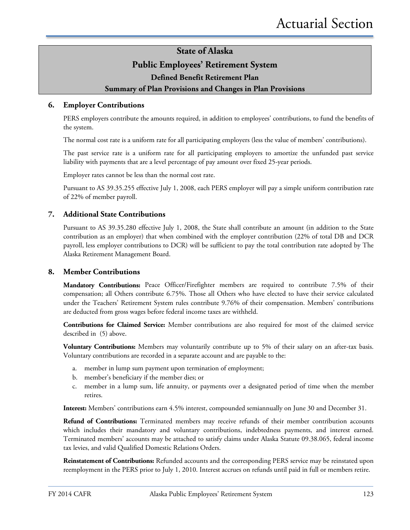#### **Public Employees' Retirement System**

**Defined Benefit Retirement Plan**

#### **Summary of Plan Provisions and Changes in Plan Provisions**

#### **6. Employer Contributions**

PERS employers contribute the amounts required, in addition to employees' contributions, to fund the benefits of the system.

The normal cost rate is a uniform rate for all participating employers (less the value of members' contributions).

The past service rate is a uniform rate for all participating employers to amortize the unfunded past service liability with payments that are a level percentage of pay amount over fixed 25-year periods.

Employer rates cannot be less than the normal cost rate.

Pursuant to AS 39.35.255 effective July 1, 2008, each PERS employer will pay a simple uniform contribution rate of 22% of member payroll.

#### **7. Additional State Contributions**

Pursuant to AS 39.35.280 effective July 1, 2008, the State shall contribute an amount (in addition to the State contribution as an employer) that when combined with the employer contribution (22% of total DB and DCR payroll, less employer contributions to DCR) will be sufficient to pay the total contribution rate adopted by The Alaska Retirement Management Board.

#### **8. Member Contributions**

**Mandatory Contributions:** Peace Officer/Firefighter members are required to contribute 7.5% of their compensation; all Others contribute 6.75%. Those all Others who have elected to have their service calculated under the Teachers' Retirement System rules contribute 9.76% of their compensation. Members' contributions are deducted from gross wages before federal income taxes are withheld.

**Contributions for Claimed Service:** Member contributions are also required for most of the claimed service described in (5) above.

**Voluntary Contributions:** Members may voluntarily contribute up to 5% of their salary on an after-tax basis. Voluntary contributions are recorded in a separate account and are payable to the:

- a. member in lump sum payment upon termination of employment;
- b. member's beneficiary if the member dies; or
- c. member in a lump sum, life annuity, or payments over a designated period of time when the member retires.

**Interest:** Members' contributions earn 4.5% interest, compounded semiannually on June 30 and December 31.

**Refund of Contributions:** Terminated members may receive refunds of their member contribution accounts which includes their mandatory and voluntary contributions, indebtedness payments, and interest earned. Terminated members' accounts may be attached to satisfy claims under Alaska Statute 09.38.065, federal income tax levies, and valid Qualified Domestic Relations Orders.

**Reinstatement of Contributions:** Refunded accounts and the corresponding PERS service may be reinstated upon reemployment in the PERS prior to July 1, 2010. Interest accrues on refunds until paid in full or members retire.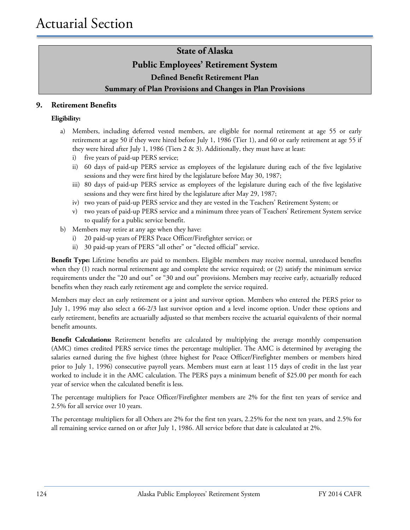#### **Public Employees' Retirement System**

**Defined Benefit Retirement Plan**

#### **Summary of Plan Provisions and Changes in Plan Provisions**

#### **9. Retirement Benefits**

#### **Eligibility:**

- a) Members, including deferred vested members, are eligible for normal retirement at age 55 or early retirement at age 50 if they were hired before July 1, 1986 (Tier 1), and 60 or early retirement at age 55 if they were hired after July 1, 1986 (Tiers 2 & 3). Additionally, they must have at least:
	- i) five years of paid-up PERS service;
	- ii) 60 days of paid-up PERS service as employees of the legislature during each of the five legislative sessions and they were first hired by the legislature before May 30, 1987;
	- iii) 80 days of paid-up PERS service as employees of the legislature during each of the five legislative sessions and they were first hired by the legislature after May 29, 1987;
	- iv) two years of paid-up PERS service and they are vested in the Teachers' Retirement System; or
	- v) two years of paid-up PERS service and a minimum three years of Teachers' Retirement System service to qualify for a public service benefit.
- b) Members may retire at any age when they have:
	- i) 20 paid-up years of PERS Peace Officer/Firefighter service; or
	- ii) 30 paid-up years of PERS "all other" or "elected official" service.

**Benefit Type:** Lifetime benefits are paid to members. Eligible members may receive normal, unreduced benefits when they (1) reach normal retirement age and complete the service required; or (2) satisfy the minimum service requirements under the "20 and out" or "30 and out" provisions. Members may receive early, actuarially reduced benefits when they reach early retirement age and complete the service required.

Members may elect an early retirement or a joint and survivor option. Members who entered the PERS prior to July 1, 1996 may also select a 66-2/3 last survivor option and a level income option. Under these options and early retirement, benefits are actuarially adjusted so that members receive the actuarial equivalents of their normal benefit amounts.

**Benefit Calculations:** Retirement benefits are calculated by multiplying the average monthly compensation (AMC) times credited PERS service times the percentage multiplier. The AMC is determined by averaging the salaries earned during the five highest (three highest for Peace Officer/Firefighter members or members hired prior to July 1, 1996) consecutive payroll years. Members must earn at least 115 days of credit in the last year worked to include it in the AMC calculation. The PERS pays a minimum benefit of \$25.00 per month for each year of service when the calculated benefit is less.

The percentage multipliers for Peace Officer/Firefighter members are 2% for the first ten years of service and 2.5% for all service over 10 years.

The percentage multipliers for all Others are 2% for the first ten years, 2.25% for the next ten years, and 2.5% for all remaining service earned on or after July 1, 1986. All service before that date is calculated at 2%.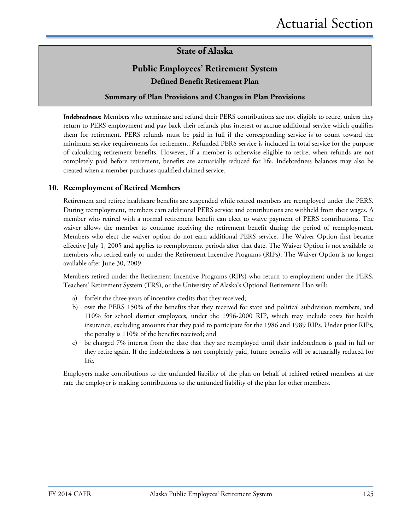# **Public Employees' Retirement System Defined Benefit Retirement Plan**

#### **Summary of Plan Provisions and Changes in Plan Provisions**

**Indebtedness:** Members who terminate and refund their PERS contributions are not eligible to retire, unless they return to PERS employment and pay back their refunds plus interest or accrue additional service which qualifies them for retirement. PERS refunds must be paid in full if the corresponding service is to count toward the minimum service requirements for retirement. Refunded PERS service is included in total service for the purpose of calculating retirement benefits. However, if a member is otherwise eligible to retire, when refunds are not completely paid before retirement, benefits are actuarially reduced for life. Indebtedness balances may also be created when a member purchases qualified claimed service.

#### **10. Reemployment of Retired Members**

Retirement and retiree healthcare benefits are suspended while retired members are reemployed under the PERS. During reemployment, members earn additional PERS service and contributions are withheld from their wages. A member who retired with a normal retirement benefit can elect to waive payment of PERS contributions. The waiver allows the member to continue receiving the retirement benefit during the period of reemployment. Members who elect the waiver option do not earn additional PERS service. The Waiver Option first became effective July 1, 2005 and applies to reemployment periods after that date. The Waiver Option is not available to members who retired early or under the Retirement Incentive Programs (RIPs). The Waiver Option is no longer available after June 30, 2009.

Members retired under the Retirement Incentive Programs (RIPs) who return to employment under the PERS, Teachers' Retirement System (TRS), or the University of Alaska's Optional Retirement Plan will:

- a) forfeit the three years of incentive credits that they received;
- b) owe the PERS 150% of the benefits that they received for state and political subdivision members, and 110% for school district employees, under the 1996-2000 RIP, which may include costs for health insurance, excluding amounts that they paid to participate for the 1986 and 1989 RIPs. Under prior RIPs, the penalty is 110% of the benefits received; and
- c) be charged 7% interest from the date that they are reemployed until their indebtedness is paid in full or they retire again. If the indebtedness is not completely paid, future benefits will be actuarially reduced for life.

Employers make contributions to the unfunded liability of the plan on behalf of rehired retired members at the rate the employer is making contributions to the unfunded liability of the plan for other members.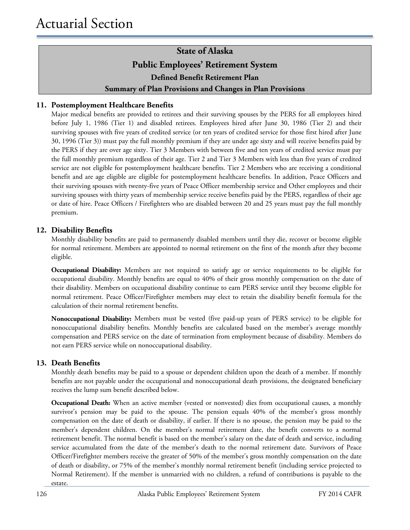# **State of Alaska Public Employees' Retirement System Defined Benefit Retirement Plan Summary of Plan Provisions and Changes in Plan Provisions**

#### **11. Postemployment Healthcare Benefits**

Major medical benefits are provided to retirees and their surviving spouses by the PERS for all employees hired before July 1, 1986 (Tier 1) and disabled retirees. Employees hired after June 30, 1986 (Tier 2) and their surviving spouses with five years of credited service (or ten years of credited service for those first hired after June 30, 1996 (Tier 3)) must pay the full monthly premium if they are under age sixty and will receive benefits paid by the PERS if they are over age sixty. Tier 3 Members with between five and ten years of credited service must pay the full monthly premium regardless of their age. Tier 2 and Tier 3 Members with less than five years of credited service are not eligible for postemployment healthcare benefits. Tier 2 Members who are receiving a conditional benefit and are age eligible are eligible for postemployment healthcare benefits. In addition, Peace Officers and their surviving spouses with twenty-five years of Peace Officer membership service and Other employees and their surviving spouses with thirty years of membership service receive benefits paid by the PERS, regardless of their age or date of hire. Peace Officers / Firefighters who are disabled between 20 and 25 years must pay the full monthly premium.

#### **12. Disability Benefits**

Monthly disability benefits are paid to permanently disabled members until they die, recover or become eligible for normal retirement. Members are appointed to normal retirement on the first of the month after they become eligible.

**Occupational Disability:** Members are not required to satisfy age or service requirements to be eligible for occupational disability. Monthly benefits are equal to 40% of their gross monthly compensation on the date of their disability. Members on occupational disability continue to earn PERS service until they become eligible for normal retirement. Peace Officer/Firefighter members may elect to retain the disability benefit formula for the calculation of their normal retirement benefits.

**Nonoccupational Disability:** Members must be vested (five paid-up years of PERS service) to be eligible for nonoccupational disability benefits. Monthly benefits are calculated based on the member's average monthly compensation and PERS service on the date of termination from employment because of disability. Members do not earn PERS service while on nonoccupational disability.

#### **13. Death Benefits**

Monthly death benefits may be paid to a spouse or dependent children upon the death of a member. If monthly benefits are not payable under the occupational and nonoccupational death provisions, the designated beneficiary receives the lump sum benefit described below.

**Occupational Death:** When an active member (vested or nonvested) dies from occupational causes, a monthly survivor's pension may be paid to the spouse. The pension equals 40% of the member's gross monthly compensation on the date of death or disability, if earlier. If there is no spouse, the pension may be paid to the member's dependent children. On the member's normal retirement date, the benefit converts to a normal retirement benefit. The normal benefit is based on the member's salary on the date of death and service, including service accumulated from the date of the member's death to the normal retirement date. Survivors of Peace Officer/Firefighter members receive the greater of 50% of the member's gross monthly compensation on the date of death or disability, or 75% of the member's monthly normal retirement benefit (including service projected to Normal Retirement). If the member is unmarried with no children, a refund of contributions is payable to the estate.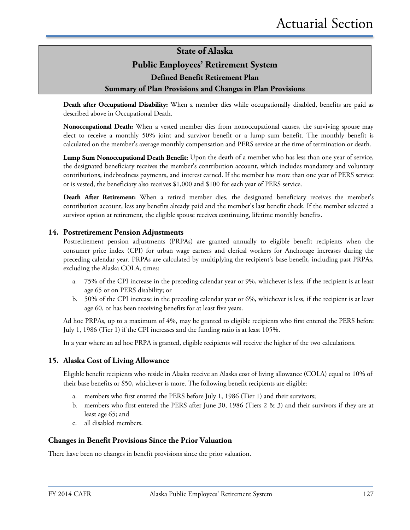#### **Public Employees' Retirement System**

#### **Defined Benefit Retirement Plan**

#### **Summary of Plan Provisions and Changes in Plan Provisions**

**Death after Occupational Disability:** When a member dies while occupationally disabled, benefits are paid as described above in Occupational Death.

**Nonoccupational Death:** When a vested member dies from nonoccupational causes, the surviving spouse may elect to receive a monthly 50% joint and survivor benefit or a lump sum benefit. The monthly benefit is calculated on the member's average monthly compensation and PERS service at the time of termination or death.

**Lump Sum Nonoccupational Death Benefit:** Upon the death of a member who has less than one year of service, the designated beneficiary receives the member's contribution account, which includes mandatory and voluntary contributions, indebtedness payments, and interest earned. If the member has more than one year of PERS service or is vested, the beneficiary also receives \$1,000 and \$100 for each year of PERS service.

**Death After Retirement:** When a retired member dies, the designated beneficiary receives the member's contribution account, less any benefits already paid and the member's last benefit check. If the member selected a survivor option at retirement, the eligible spouse receives continuing, lifetime monthly benefits.

#### **14. Postretirement Pension Adjustments**

Postretirement pension adjustments (PRPAs) are granted annually to eligible benefit recipients when the consumer price index (CPI) for urban wage earners and clerical workers for Anchorage increases during the preceding calendar year. PRPAs are calculated by multiplying the recipient's base benefit, including past PRPAs, excluding the Alaska COLA, times:

- a. 75% of the CPI increase in the preceding calendar year or 9%, whichever is less, if the recipient is at least age 65 or on PERS disability; or
- b. 50% of the CPI increase in the preceding calendar year or 6%, whichever is less, if the recipient is at least age 60, or has been receiving benefits for at least five years.

Ad hoc PRPAs, up to a maximum of 4%, may be granted to eligible recipients who first entered the PERS before July 1, 1986 (Tier 1) if the CPI increases and the funding ratio is at least 105%.

In a year where an ad hoc PRPA is granted, eligible recipients will receive the higher of the two calculations.

#### **15. Alaska Cost of Living Allowance**

Eligible benefit recipients who reside in Alaska receive an Alaska cost of living allowance (COLA) equal to 10% of their base benefits or \$50, whichever is more. The following benefit recipients are eligible:

- a. members who first entered the PERS before July 1, 1986 (Tier 1) and their survivors;
- b. members who first entered the PERS after June 30, 1986 (Tiers 2 & 3) and their survivors if they are at least age 65; and
- c. all disabled members.

#### **Changes in Benefit Provisions Since the Prior Valuation**

There have been no changes in benefit provisions since the prior valuation.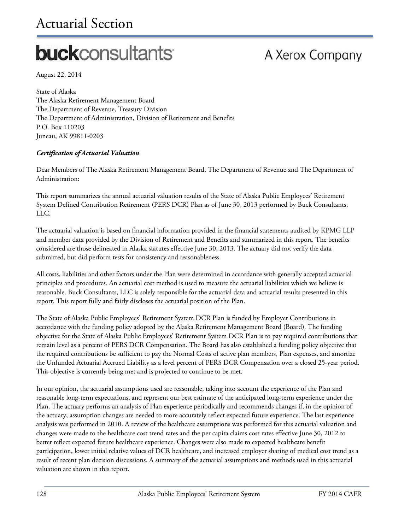# Actuarial Section

# **buck**consultants

# A Xerox Company

August 22, 2014

State of Alaska The Alaska Retirement Management Board The Department of Revenue, Treasury Division The Department of Administration, Division of Retirement and Benefits P.O. Box 110203 Juneau, AK 99811-0203

#### *Certification of Actuarial Valuation*

Dear Members of The Alaska Retirement Management Board, The Department of Revenue and The Department of Administration:

This report summarizes the annual actuarial valuation results of the State of Alaska Public Employees' Retirement System Defined Contribution Retirement (PERS DCR) Plan as of June 30, 2013 performed by Buck Consultants, LLC.

The actuarial valuation is based on financial information provided in the financial statements audited by KPMG LLP and member data provided by the Division of Retirement and Benefits and summarized in this report. The benefits considered are those delineated in Alaska statutes effective June 30, 2013. The actuary did not verify the data submitted, but did perform tests for consistency and reasonableness.

All costs, liabilities and other factors under the Plan were determined in accordance with generally accepted actuarial principles and procedures. An actuarial cost method is used to measure the actuarial liabilities which we believe is reasonable. Buck Consultants, LLC is solely responsible for the actuarial data and actuarial results presented in this report. This report fully and fairly discloses the actuarial position of the Plan.

The State of Alaska Public Employees' Retirement System DCR Plan is funded by Employer Contributions in accordance with the funding policy adopted by the Alaska Retirement Management Board (Board). The funding objective for the State of Alaska Public Employees' Retirement System DCR Plan is to pay required contributions that remain level as a percent of PERS DCR Compensation. The Board has also established a funding policy objective that the required contributions be sufficient to pay the Normal Costs of active plan members, Plan expenses, and amortize the Unfunded Actuarial Accrued Liability as a level percent of PERS DCR Compensation over a closed 25-year period. This objective is currently being met and is projected to continue to be met.

In our opinion, the actuarial assumptions used are reasonable, taking into account the experience of the Plan and reasonable long-term expectations, and represent our best estimate of the anticipated long-term experience under the Plan. The actuary performs an analysis of Plan experience periodically and recommends changes if, in the opinion of the actuary, assumption changes are needed to more accurately reflect expected future experience. The last experience analysis was performed in 2010. A review of the healthcare assumptions was performed for this actuarial valuation and changes were made to the healthcare cost trend rates and the per capita claims cost rates effective June 30, 2012 to better reflect expected future healthcare experience. Changes were also made to expected healthcare benefit participation, lower initial relative values of DCR healthcare, and increased employer sharing of medical cost trend as a result of recent plan decision discussions. A summary of the actuarial assumptions and methods used in this actuarial valuation are shown in this report.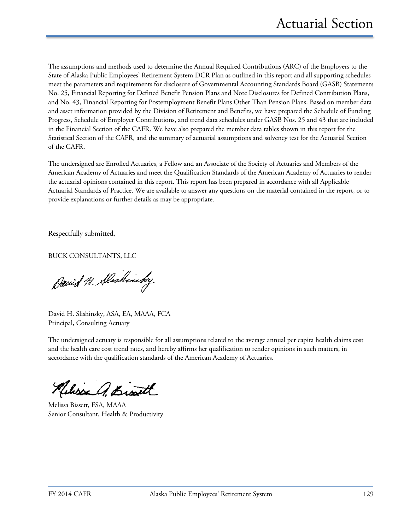The assumptions and methods used to determine the Annual Required Contributions (ARC) of the Employers to the State of Alaska Public Employees' Retirement System DCR Plan as outlined in this report and all supporting schedules meet the parameters and requirements for disclosure of Governmental Accounting Standards Board (GASB) Statements No. 25, Financial Reporting for Defined Benefit Pension Plans and Note Disclosures for Defined Contribution Plans, and No. 43, Financial Reporting for Postemployment Benefit Plans Other Than Pension Plans. Based on member data and asset information provided by the Division of Retirement and Benefits, we have prepared the Schedule of Funding Progress, Schedule of Employer Contributions, and trend data schedules under GASB Nos. 25 and 43 that are included in the Financial Section of the CAFR. We have also prepared the member data tables shown in this report for the Statistical Section of the CAFR, and the summary of actuarial assumptions and solvency test for the Actuarial Section of the CAFR.

The undersigned are Enrolled Actuaries, a Fellow and an Associate of the Society of Actuaries and Members of the American Academy of Actuaries and meet the Qualification Standards of the American Academy of Actuaries to render the actuarial opinions contained in this report. This report has been prepared in accordance with all Applicable Actuarial Standards of Practice. We are available to answer any questions on the material contained in the report, or to provide explanations or further details as may be appropriate.

Respectfully submitted,

BUCK CONSULTANTS, LLC

David H. Alschinsky

David H. Slishinsky, ASA, EA, MAAA, FCA Principal, Consulting Actuary

The undersigned actuary is responsible for all assumptions related to the average annual per capita health claims cost and the health care cost trend rates, and hereby affirms her qualification to render opinions in such matters, in accordance with the qualification standards of the American Academy of Actuaries.

Melisse A. Bisatt

Melissa Bissett, FSA, MAAA Senior Consultant, Health & Productivity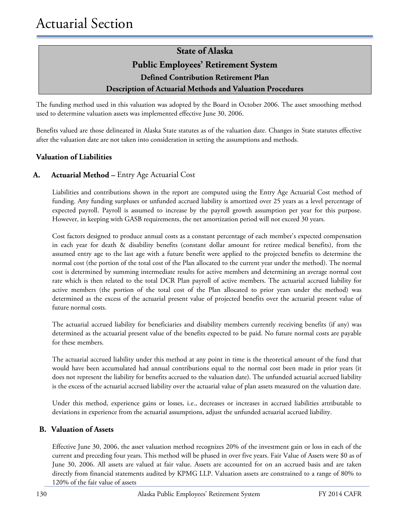The funding method used in this valuation was adopted by the Board in October 2006. The asset smoothing method used to determine valuation assets was implemented effective June 30, 2006.

Benefits valued are those delineated in Alaska State statutes as of the valuation date. Changes in State statutes effective after the valuation date are not taken into consideration in setting the assumptions and methods.

#### **Valuation of Liabilities**

#### **A. Actuarial Method –** Entry Age Actuarial Cost

Liabilities and contributions shown in the report are computed using the Entry Age Actuarial Cost method of funding. Any funding surpluses or unfunded accrued liability is amortized over 25 years as a level percentage of expected payroll. Payroll is assumed to increase by the payroll growth assumption per year for this purpose. However, in keeping with GASB requirements, the net amortization period will not exceed 30 years.

Cost factors designed to produce annual costs as a constant percentage of each member's expected compensation in each year for death & disability benefits (constant dollar amount for retiree medical benefits), from the assumed entry age to the last age with a future benefit were applied to the projected benefits to determine the normal cost (the portion of the total cost of the Plan allocated to the current year under the method). The normal cost is determined by summing intermediate results for active members and determining an average normal cost rate which is then related to the total DCR Plan payroll of active members. The actuarial accrued liability for active members (the portion of the total cost of the Plan allocated to prior years under the method) was determined as the excess of the actuarial present value of projected benefits over the actuarial present value of future normal costs.

The actuarial accrued liability for beneficiaries and disability members currently receiving benefits (if any) was determined as the actuarial present value of the benefits expected to be paid. No future normal costs are payable for these members.

The actuarial accrued liability under this method at any point in time is the theoretical amount of the fund that would have been accumulated had annual contributions equal to the normal cost been made in prior years (it does not represent the liability for benefits accrued to the valuation date). The unfunded actuarial accrued liability is the excess of the actuarial accrued liability over the actuarial value of plan assets measured on the valuation date.

Under this method, experience gains or losses, i.e., decreases or increases in accrued liabilities attributable to deviations in experience from the actuarial assumptions, adjust the unfunded actuarial accrued liability.

#### **B. Valuation of Assets**

Effective June 30, 2006, the asset valuation method recognizes 20% of the investment gain or loss in each of the current and preceding four years. This method will be phased in over five years. Fair Value of Assets were \$0 as of June 30, 2006. All assets are valued at fair value. Assets are accounted for on an accrued basis and are taken directly from financial statements audited by KPMG LLP. Valuation assets are constrained to a range of 80% to 120% of the fair value of assets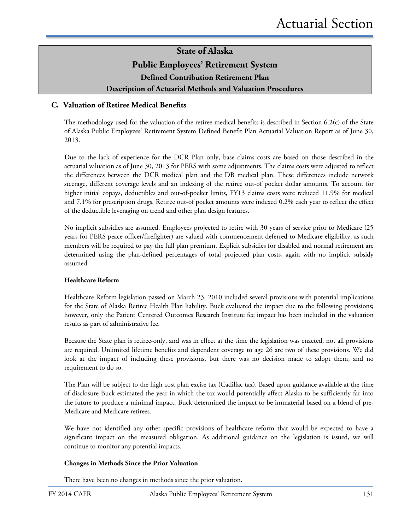#### **C. Valuation of Retiree Medical Benefits**

The methodology used for the valuation of the retiree medical benefits is described in Section 6.2(c) of the State of Alaska Public Employees' Retirement System Defined Benefit Plan Actuarial Valuation Report as of June 30, 2013.

Due to the lack of experience for the DCR Plan only, base claims costs are based on those described in the actuarial valuation as of June 30, 2013 for PERS with some adjustments. The claims costs were adjusted to reflect the differences between the DCR medical plan and the DB medical plan. These differences include network steerage, different coverage levels and an indexing of the retiree out-of pocket dollar amounts. To account for higher initial copays, deductibles and out-of-pocket limits, FY13 claims costs were reduced 11.9% for medical and 7.1% for prescription drugs. Retiree out-of pocket amounts were indexed 0.2% each year to reflect the effect of the deductible leveraging on trend and other plan design features.

No implicit subsidies are assumed. Employees projected to retire with 30 years of service prior to Medicare (25 years for PERS peace officer/firefighter) are valued with commencement deferred to Medicare eligibility, as such members will be required to pay the full plan premium. Explicit subsidies for disabled and normal retirement are determined using the plan-defined percentages of total projected plan costs, again with no implicit subsidy assumed.

#### **Healthcare Reform**

Healthcare Reform legislation passed on March 23, 2010 included several provisions with potential implications for the State of Alaska Retiree Health Plan liability. Buck evaluated the impact due to the following provisions; however, only the Patient Centered Outcomes Research Institute fee impact has been included in the valuation results as part of administrative fee.

Because the State plan is retiree-only, and was in effect at the time the legislation was enacted, not all provisions are required. Unlimited lifetime benefits and dependent coverage to age 26 are two of these provisions. We did look at the impact of including these provisions, but there was no decision made to adopt them, and no requirement to do so.

The Plan will be subject to the high cost plan excise tax (Cadillac tax). Based upon guidance available at the time of disclosure Buck estimated the year in which the tax would potentially affect Alaska to be sufficiently far into the future to produce a minimal impact. Buck determined the impact to be immaterial based on a blend of pre-Medicare and Medicare retirees.

We have not identified any other specific provisions of healthcare reform that would be expected to have a significant impact on the measured obligation. As additional guidance on the legislation is issued, we will continue to monitor any potential impacts.

#### **Changes in Methods Since the Prior Valuation**

There have been no changes in methods since the prior valuation.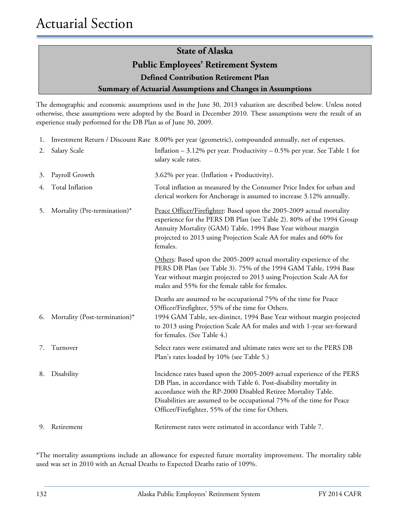#### **Public Employees' Retirement System**

**Defined Contribution Retirement Plan**

#### **Summary of Actuarial Assumptions and Changes in Assumptions**

The demographic and economic assumptions used in the June 30, 2013 valuation are described below. Unless noted otherwise, these assumptions were adopted by the Board in December 2010. These assumptions were the result of an experience study performed for the DB Plan as of June 30, 2009.

1. Investment Return / Discount Rate 8.00% per year (geometric), compounded annually, net of expenses. 2. Salary Scale Inflation – 3.12% per year. Productivity – 0.5% per year. See Table 1 for salary scale rates. 3. Payroll Growth 3.62% per year. (Inflation + Productivity). 4. Total Inflation Total inflation as measured by the Consumer Price Index for urban and clerical workers for Anchorage is assumed to increase 3.12% annually. 5. Mortality (Pre-termination)\* Peace Officer/Firefighter: Based upon the 2005-2009 actual mortality experience for the PERS DB Plan (see Table 2). 80% of the 1994 Group Annuity Mortality (GAM) Table, 1994 Base Year without margin projected to 2013 using Projection Scale AA for males and 60% for females. Others: Based upon the 2005-2009 actual mortality experience of the PERS DB Plan (see Table 3). 75% of the 1994 GAM Table, 1994 Base Year without margin projected to 2013 using Projection Scale AA for males and 55% for the female table for females. Deaths are assumed to be occupational 75% of the time for Peace Officer/Firefighter, 55% of the time for Others. 6. Mortality (Post-termination)\* 1994 GAM Table, sex-distinct, 1994 Base Year without margin projected to 2013 using Projection Scale AA for males and with 1-year set-forward for females. (See Table 4.) 7. Turnover Select rates were estimated and ultimate rates were set to the PERS DB Plan's rates loaded by 10% (see Table 5.) 8. Disability Incidence rates based upon the 2005-2009 actual experience of the PERS DB Plan, in accordance with Table 6. Post-disability mortality in accordance with the RP-2000 Disabled Retiree Mortality Table. Disabilities are assumed to be occupational 75% of the time for Peace Officer/Firefighter, 55% of the time for Others. 9. Retirement Table 7. Retirement rates were estimated in accordance with Table 7.

\*The mortality assumptions include an allowance for expected future mortality improvement. The mortality table used was set in 2010 with an Actual Deaths to Expected Deaths ratio of 109%.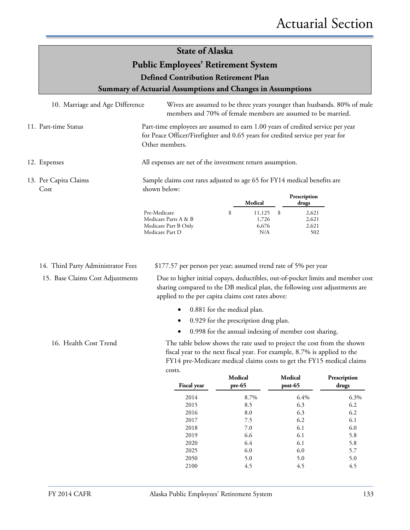| <b>State of Alaska</b>                     |                                                                                                                                                                                                                      |                                                                                                                                                                   |                             |                                       |    |                                                       |                                                                        |
|--------------------------------------------|----------------------------------------------------------------------------------------------------------------------------------------------------------------------------------------------------------------------|-------------------------------------------------------------------------------------------------------------------------------------------------------------------|-----------------------------|---------------------------------------|----|-------------------------------------------------------|------------------------------------------------------------------------|
| <b>Public Employees' Retirement System</b> |                                                                                                                                                                                                                      |                                                                                                                                                                   |                             |                                       |    |                                                       |                                                                        |
|                                            |                                                                                                                                                                                                                      | <b>Defined Contribution Retirement Plan</b>                                                                                                                       |                             |                                       |    |                                                       |                                                                        |
|                                            |                                                                                                                                                                                                                      | Summary of Actuarial Assumptions and Changes in Assumptions                                                                                                       |                             |                                       |    |                                                       |                                                                        |
| 10. Marriage and Age Difference            |                                                                                                                                                                                                                      | members and 70% of female members are assumed to be married.                                                                                                      |                             |                                       |    |                                                       | Wives are assumed to be three years younger than husbands. 80% of male |
| 11. Part-time Status                       | Other members.                                                                                                                                                                                                       | Part-time employees are assumed to earn 1.00 years of credited service per year<br>for Peace Officer/Firefighter and 0.65 years for credited service per year for |                             |                                       |    |                                                       |                                                                        |
| 12. Expenses                               |                                                                                                                                                                                                                      | All expenses are net of the investment return assumption.                                                                                                         |                             |                                       |    |                                                       |                                                                        |
| 13. Per Capita Claims<br>Cost              | shown below:                                                                                                                                                                                                         | Sample claims cost rates adjusted to age 65 for FY14 medical benefits are                                                                                         |                             |                                       |    |                                                       |                                                                        |
|                                            |                                                                                                                                                                                                                      |                                                                                                                                                                   |                             | Medical                               |    | Prescription<br>drugs                                 |                                                                        |
|                                            | Pre-Medicare<br>Medicare Part D                                                                                                                                                                                      | Medicare Parts A & B<br>Medicare Part B Only                                                                                                                      | \$                          | 11,125<br>1,726<br>6,676<br>N/A       | \$ | 2,621<br>2,621<br>2,621<br>502                        |                                                                        |
| 14. Third Party Administrator Fees         |                                                                                                                                                                                                                      | \$177.57 per person per year; assumed trend rate of 5% per year                                                                                                   |                             |                                       |    |                                                       |                                                                        |
| 15. Base Claims Cost Adjustments           | Due to higher initial copays, deductibles, out-of-pocket limits and member cost<br>sharing compared to the DB medical plan, the following cost adjustments are<br>applied to the per capita claims cost rates above: |                                                                                                                                                                   |                             |                                       |    |                                                       |                                                                        |
|                                            |                                                                                                                                                                                                                      |                                                                                                                                                                   | 0.881 for the medical plan. |                                       |    |                                                       |                                                                        |
|                                            |                                                                                                                                                                                                                      |                                                                                                                                                                   |                             | 0.929 for the prescription drug plan. |    |                                                       |                                                                        |
|                                            |                                                                                                                                                                                                                      |                                                                                                                                                                   |                             |                                       |    | 0.998 for the annual indexing of member cost sharing. |                                                                        |
| 16. Health Cost Trend                      |                                                                                                                                                                                                                      | The table below shows the rate used to project the cost from the shown<br>fiscal year to the next fiscal year. For example, 8.7% is applied to the                |                             |                                       |    |                                                       | FY14 pre-Medicare medical claims costs to get the FY15 medical claims  |
|                                            |                                                                                                                                                                                                                      | costs.                                                                                                                                                            |                             | Medical                               |    | Medical                                               | Prescription                                                           |

| <b>Fiscal year</b> | <b>Medical</b><br>pre-65 | Medical<br>$post-65$ | Prescription<br>drugs |
|--------------------|--------------------------|----------------------|-----------------------|
| 2014               | 8.7%                     | 6.4%                 | 6.3%                  |
| 2015               | 8.5                      | 6.3                  | 6.2                   |
| 2016               | 8.0                      | 6.3                  | 6.2                   |
| 2017               | 7.5                      | 6.2                  | 6.1                   |
| 2018               | 7.0                      | 6.1                  | 6.0                   |
| 2019               | 6.6                      | 6.1                  | 5.8                   |
| 2020               | 6.4                      | 6.1                  | 5.8                   |
| 2025               | 6.0                      | 6.0                  | 5.7                   |
| 2050               | 5.0                      | 5.0                  | 5.0                   |
| 2100               | 4.5                      | 4.5                  | 4.5                   |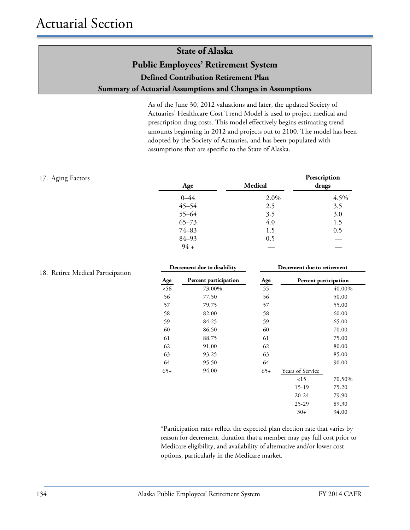As of the June 30, 2012 valuations and later, the updated Society of Actuaries' Healthcare Cost Trend Model is used to project medical and prescription drug costs. This model effectively begins estimating trend amounts beginning in 2012 and projects out to 2100. The model has been adopted by the Society of Actuaries, and has been populated with assumptions that are specific to the State of Alaska.

| 17. Aging Factors | Age       | Medical | Prescription<br>drugs |
|-------------------|-----------|---------|-----------------------|
|                   | $0 - 44$  | 2.0%    | 4.5%                  |
|                   | $45 - 54$ | 2.5     | 3.5                   |
|                   | 55-64     | 3.5     | 3.0                   |
|                   | $65 - 73$ | 4.0     | 1.5                   |
|                   | $74 - 83$ | 1.5     | 0.5                   |
|                   | 84-93     | 0.5     |                       |
|                   | $94 +$    |         |                       |

|       | Decrement due to disability | Decrement due to retirement |                       |        |  |  |
|-------|-----------------------------|-----------------------------|-----------------------|--------|--|--|
| Age   | Percent participation       | Age                         | Percent participation |        |  |  |
| 56    | 73.00%                      | 55                          |                       | 40.00% |  |  |
| 56    | 77.50                       | 56                          |                       | 50.00  |  |  |
| 57    | 79.75                       | 57                          |                       | 55.00  |  |  |
| 58    | 82.00                       | 58                          |                       | 60.00  |  |  |
| 59    | 84.25                       | 59                          |                       | 65.00  |  |  |
| 60    | 86.50                       | 60                          |                       | 70.00  |  |  |
| 61    | 88.75                       | 61                          |                       | 75.00  |  |  |
| 62    | 91.00                       | 62                          |                       | 80.00  |  |  |
| 63    | 93.25                       | 63                          |                       | 85.00  |  |  |
| 64    | 95.50                       | 64                          |                       | 90.00  |  |  |
| $65+$ | 94.00                       | $65+$                       | Years of Service      |        |  |  |
|       |                             |                             | 15                    | 70.50% |  |  |
|       |                             |                             | 15-19                 | 75.20  |  |  |
|       |                             |                             | $20 - 24$             | 79.90  |  |  |
|       |                             |                             | $25 - 29$             | 89.30  |  |  |
|       |                             |                             | $30+$                 | 94.00  |  |  |

\*Participation rates reflect the expected plan election rate that varies by reason for decrement, duration that a member may pay full cost prior to Medicare eligibility, and availability of alternative and/or lower cost options, particularly in the Medicare market.

#### 18. Retiree Medical Participation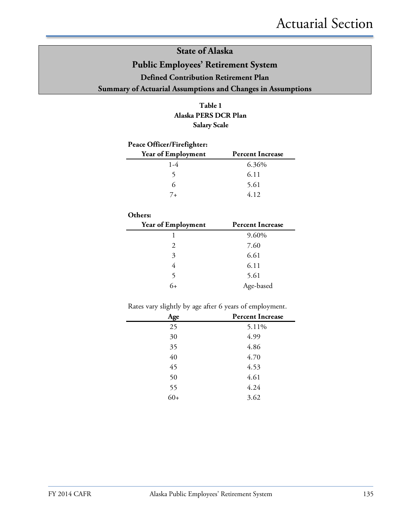**Table 1 Alaska PERS DCR Plan Salary Scale**

#### **Peace Officer/Firefighter:**

| <b>Year of Employment</b> | <b>Percent Increase</b> |
|---------------------------|-------------------------|
| $1 - 4$                   | 6.36%                   |
| 5                         | 6.11                    |
| 6                         | 5.61                    |
| $7+$                      | 4.12                    |

#### **Others:**

| <b>Year of Employment</b> | <b>Percent Increase</b> |
|---------------------------|-------------------------|
|                           | 9.60%                   |
| $\mathcal{D}_{\cdot}$     | 7.60                    |
| 3                         | 6.61                    |
|                           | 6.11                    |
| 5                         | 5.61                    |
| 6+                        | Age-based               |

Rates vary slightly by age after 6 years of employment.

| $\tilde{\phantom{a}}$<br>Age | <b>Percent Increase</b> |
|------------------------------|-------------------------|
| 25                           | 5.11%                   |
| 30                           | 4.99                    |
| 35                           | 4.86                    |
| 40                           | 4.70                    |
| 45                           | 4.53                    |
| 50                           | 4.61                    |
| 55                           | 4.24                    |
| $60+$                        | 3.62                    |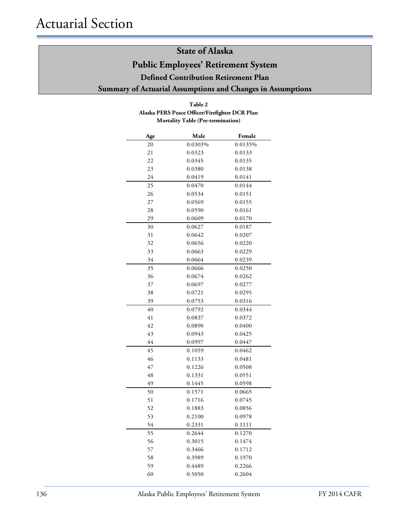| <b>Mortality Table (Pre-termination)</b> |         |         |
|------------------------------------------|---------|---------|
| Age                                      | Male    | Female  |
| 20                                       | 0.0303% | 0.0135% |
| 21                                       | 0.0323  | 0.0133  |
| 22                                       | 0.0345  | 0.0135  |
| 23                                       | 0.0380  | 0.0138  |
| 24                                       | 0.0419  | 0.0141  |
| 25                                       | 0.0470  | 0.0144  |
| 26                                       | 0.0534  | 0.0151  |
| 27                                       | 0.0569  | 0.0155  |
| 28                                       | 0.0590  | 0.0161  |
| 29                                       | 0.0609  | 0.0170  |
| 30                                       | 0.0627  | 0.0187  |
| 31                                       | 0.0642  | 0.0207  |
| 32                                       | 0.0656  | 0.0220  |
| 33                                       | 0.0663  | 0.0229  |
| 34                                       | 0.0664  | 0.0239  |
| 35                                       | 0.0666  | 0.0250  |
| 36                                       | 0.0674  | 0.0262  |
| 37                                       | 0.0697  | 0.0277  |
| 38                                       | 0.0721  | 0.0295  |
| 39                                       | 0.0753  | 0.0316  |
| 40                                       | 0.0792  | 0.0344  |
| 41                                       | 0.0837  | 0.0372  |
| 42                                       | 0.0890  | 0.0400  |
| 43                                       | 0.0943  | 0.0425  |
| 44                                       | 0.0997  | 0.0447  |
| 45                                       | 0.1059  | 0.0462  |
| 46                                       | 0.1133  | 0.0481  |
| 47                                       | 0.1226  | 0.0508  |
| 48                                       | 0.1331  | 0.0551  |
| 49                                       | 0.1445  | 0.0598  |
| 50                                       | 0.1571  | 0.0665  |
| 51                                       | 0.1716  | 0.0745  |
| 52                                       | 0.1883  | 0.0856  |
| 53                                       | 0.2100  | 0.0978  |
| 54                                       | 0.2331  | 0.1111  |
| 55                                       | 0.2644  | 0.1270  |
| 56                                       | 0.3015  | 0.1474  |
| 57                                       | 0.3466  | 0.1712  |
| 58                                       | 0.3989  | 0.1970  |
| 59                                       | 0.4489  | 0.2266  |
| 60                                       | 0.5050  | 0.2604  |

**Table 2 Alaska PERS Peace Officer/Firefighter DCR Plan**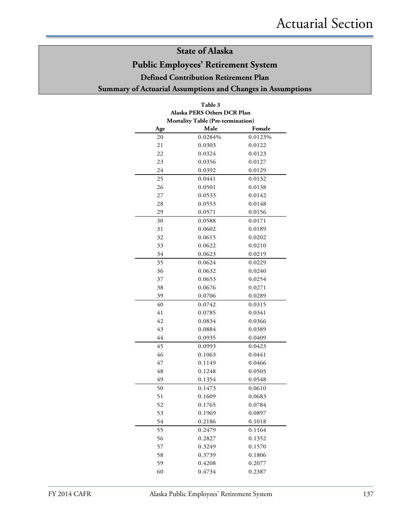## **Public Employees' Retirement System**

**Defined Contribution Retirement Plan**

**Summary of Actuarial Assumptions and Changes in Assumptions**

|                                          | Table 3 |         |  |  |
|------------------------------------------|---------|---------|--|--|
| Alaska PERS Others DCR Plan              |         |         |  |  |
| <b>Mortality Table (Pre-termination)</b> |         |         |  |  |
| Age                                      | Male    | Female  |  |  |
| 20                                       | 0.0284% | 0.0123% |  |  |
| 21                                       | 0.0303  | 0.0122  |  |  |
| 22                                       | 0.0324  | 0.0123  |  |  |
| 23                                       | 0.0356  | 0.0127  |  |  |
| 24                                       | 0.0392  | 0.0129  |  |  |
| 25                                       | 0.0441  | 0.0132  |  |  |
| 26                                       | 0.0501  | 0.0138  |  |  |
| 27                                       | 0.0533  | 0.0142  |  |  |
| 28                                       | 0.0553  | 0.0148  |  |  |
| 29                                       | 0.0571  | 0.0156  |  |  |
| 30                                       | 0.0588  | 0.0171  |  |  |
| 31                                       | 0.0602  | 0.0189  |  |  |
| 32                                       | 0.0615  | 0.0202  |  |  |
| 33                                       | 0.0622  | 0.0210  |  |  |
| 34                                       | 0.0623  | 0.0219  |  |  |
| 35                                       | 0.0624  | 0.0229  |  |  |
| 36                                       | 0.0632  | 0.0240  |  |  |
| 37                                       | 0.0653  | 0.0254  |  |  |
| 38                                       | 0.0676  | 0.0271  |  |  |
| 39                                       | 0.0706  | 0.0289  |  |  |
| 40                                       | 0.0742  | 0.0315  |  |  |
| 41                                       | 0.0785  | 0.0341  |  |  |
| 42                                       | 0.0834  | 0.0366  |  |  |
| 43                                       | 0.0884  | 0.0389  |  |  |
| 44                                       | 0.0935  | 0.0409  |  |  |
| 45                                       | 0.0993  | 0.0423  |  |  |
| 46                                       | 0.1063  | 0.0441  |  |  |
| 47                                       | 0.1149  | 0.0466  |  |  |
| 48                                       | 0.1248  | 0.0505  |  |  |
| 49                                       | 0.1354  | 0.0548  |  |  |
| 50                                       | 0.1473  | 0.0610  |  |  |
| 51                                       | 0.1609  | 0.0683  |  |  |
| 52                                       | 0.1765  | 0.0784  |  |  |
| 53                                       | 0.1969  | 0.0897  |  |  |
| 54                                       | 0.2186  | 0.1018  |  |  |
| 55                                       | 0.2479  | 0.1164  |  |  |
| 56                                       | 0.2827  | 0.1352  |  |  |
| 57                                       | 0.3249  | 0.1570  |  |  |
| 58                                       | 0.3739  | 0.1806  |  |  |
| 59                                       | 0.4208  | 0.2077  |  |  |
| 60                                       | 0.4734  | 0.2387  |  |  |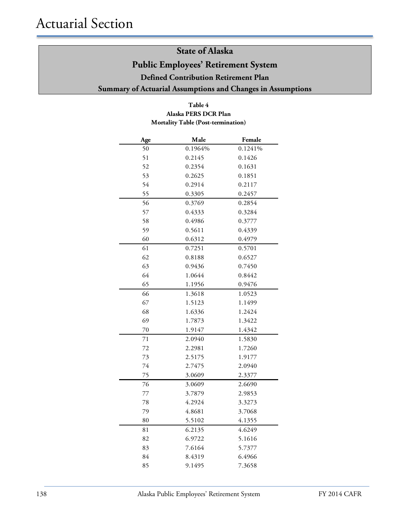#### **Table 4 Alaska PERS DCR Plan Mortality Table (Post-termination)**

| Age | Male    | Female  |
|-----|---------|---------|
| 50  | 0.1964% | 0.1241% |
| 51  | 0.2145  | 0.1426  |
| 52  | 0.2354  | 0.1631  |
| 53  | 0.2625  | 0.1851  |
| 54  | 0.2914  | 0.2117  |
| 55  | 0.3305  | 0.2457  |
| 56  | 0.3769  | 0.2854  |
| 57  | 0.4333  | 0.3284  |
| 58  | 0.4986  | 0.3777  |
| 59  | 0.5611  | 0.4339  |
| 60  | 0.6312  | 0.4979  |
| 61  | 0.7251  | 0.5701  |
| 62  | 0.8188  | 0.6527  |
| 63  | 0.9436  | 0.7450  |
| 64  | 1.0644  | 0.8442  |
| 65  | 1.1956  | 0.9476  |
| 66  | 1.3618  | 1.0523  |
| 67  | 1.5123  | 1.1499  |
| 68  | 1.6336  | 1.2424  |
| 69  | 1.7873  | 1.3422  |
| 70  | 1.9147  | 1.4342  |
| 71  | 2.0940  | 1.5830  |
| 72  | 2.2981  | 1.7260  |
| 73  | 2.5175  | 1.9177  |
| 74  | 2.7475  | 2.0940  |
| 75  | 3.0609  | 2.3377  |
| 76  | 3.0609  | 2.6690  |
| 77  | 3.7879  | 2.9853  |
| 78  | 4.2924  | 3.3273  |
| 79  | 4.8681  | 3.7068  |
| 80  | 5.5102  | 4.1355  |
| 81  | 6.2135  | 4.6249  |
| 82  | 6.9722  | 5.1616  |
| 83  | 7.6164  | 5.7377  |
| 84  | 8.4319  | 6.4966  |
| 85  | 9.1495  | 7.3658  |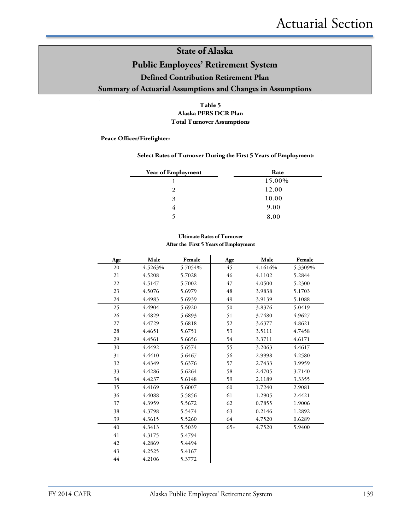**Table 5 Alaska PERS DCR Plan Total Turnover Assumptions**

**Peace Officer/Firefighter:**

**Select Rates of Turnover During the First 5 Years of Employment:**

| <b>Year of Employment</b> | Rate   |
|---------------------------|--------|
|                           | 15.00% |
| $\mathcal{P}$             | 12.00  |
| 3                         | 10.00  |
|                           | 9.00   |
|                           | 8.00   |

**Ultimate Rates of Turnover After the First 5 Years of Employment**

| Age | Male    | Female  | Age   | Male    | Female  |
|-----|---------|---------|-------|---------|---------|
| 20  | 4.5263% | 5.7054% | 45    | 4.1616% | 5.3309% |
| 21  | 4.5208  | 5.7028  | 46    | 4.1102  | 5.2844  |
| 22  | 4.5147  | 5.7002  | 47    | 4.0500  | 5.2300  |
| 23  | 4.5076  | 5.6979  | 48    | 3.9838  | 5.1703  |
| 24  | 4.4983  | 5.6939  | 49    | 3.9139  | 5.1088  |
| 25  | 4.4904  | 5.6920  | 50    | 3.8376  | 5.0419  |
| 26  | 4.4829  | 5.6893  | 51    | 3.7480  | 4.9627  |
| 27  | 4.4729  | 5.6818  | 52    | 3.6377  | 4.8621  |
| 28  | 4.4651  | 5.6751  | 53    | 3.5111  | 4.7458  |
| 29  | 4.4561  | 5.6656  | 54    | 3.3711  | 4.6171  |
| 30  | 4.4492  | 5.6574  | 55    | 3.2063  | 4.4617  |
| 31  | 4.4410  | 5.6467  | 56    | 2.9998  | 4.2580  |
| 32  | 4.4349  | 5.6376  | 57    | 2.7433  | 3.9959  |
| 33  | 4.4286  | 5.6264  | 58    | 2.4705  | 3.7140  |
| 34  | 4.4237  | 5.6148  | 59    | 2.1189  | 3.3355  |
| 35  | 4.4169  | 5.6007  | 60    | 1.7240  | 2.9081  |
| 36  | 4.4088  | 5.5856  | 61    | 1.2905  | 2.4421  |
| 37  | 4.3959  | 5.5672  | 62    | 0.7855  | 1.9006  |
| 38  | 4.3798  | 5.5474  | 63    | 0.2146  | 1.2892  |
| 39  | 4.3615  | 5.5260  | 64    | 4.7520  | 0.6289  |
| 40  | 4.3413  | 5.5039  | $65+$ | 4.7520  | 5.9400  |
| 41  | 4.3175  | 5.4794  |       |         |         |
| 42  | 4.2869  | 5.4494  |       |         |         |
| 43  | 4.2525  | 5.4167  |       |         |         |
| 44  | 4.2106  | 5.3772  |       |         |         |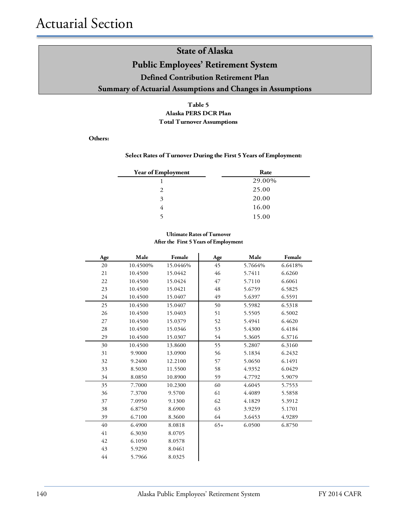#### **Table 5 Alaska PERS DCR Plan Total Turnover Assumptions**

**Others:**

#### **Select Rates of Turnover During the First 5 Years of Employment:**

| <b>Year of Employment</b> | Rate   |
|---------------------------|--------|
|                           | 29.00% |
| $\mathcal{D}$             | 25.00  |
| 3                         | 20.00  |
| 4                         | 16.00  |
|                           | 15.00  |

#### **Ultimate Rates of Turnover After the First 5 Years of Employment**

| Age | Male     | Female   | Age   | Male    | Female  |
|-----|----------|----------|-------|---------|---------|
| 20  | 10.4500% | 15.0446% | 45    | 5.7664% | 6.6418% |
| 21  | 10.4500  | 15.0442  | 46    | 5.7411  | 6.6260  |
| 22  | 10.4500  | 15.0424  | 47    | 5.7110  | 6.6061  |
| 23  | 10.4500  | 15.0421  | 48    | 5.6759  | 6.5825  |
| 24  | 10.4500  | 15.0407  | 49    | 5.6397  | 6.5591  |
| 25  | 10.4500  | 15.0407  | 50    | 5.5982  | 6.5318  |
| 26  | 10.4500  | 15.0403  | 51    | 5.5505  | 6.5002  |
| 27  | 10.4500  | 15.0379  | 52    | 5.4941  | 6.4620  |
| 28  | 10.4500  | 15.0346  | 53    | 5.4300  | 6.4184  |
| 29  | 10.4500  | 15.0307  | 54    | 5.3605  | 6.3716  |
| 30  | 10.4500  | 13.8600  | 55    | 5.2807  | 6.3160  |
| 31  | 9.9000   | 13.0900  | 56    | 5.1834  | 6.2432  |
| 32  | 9.2400   | 12.2100  | 57    | 5.0650  | 6.1491  |
| 33  | 8.5030   | 11.5500  | 58    | 4.9352  | 6.0429  |
| 34  | 8.0850   | 10.8900  | 59    | 4.7792  | 5.9079  |
| 35  | 7.7000   | 10.2300  | 60    | 4.6045  | 5.7553  |
| 36  | 7.3700   | 9.5700   | 61    | 4.4089  | 5.5858  |
| 37  | 7.0950   | 9.1300   | 62    | 4.1829  | 5.3912  |
| 38  | 6.8750   | 8.6900   | 63    | 3.9259  | 5.1701  |
| 39  | 6.7100   | 8.3600   | 64    | 3.6453  | 4.9289  |
| 40  | 6.4900   | 8.0818   | $65+$ | 6.0500  | 6.8750  |
| 41  | 6.3030   | 8.0705   |       |         |         |
| 42  | 6.1050   | 8.0578   |       |         |         |
| 43  | 5.9290   | 8.0461   |       |         |         |
| 44  | 5.7966   | 8.0325   |       |         |         |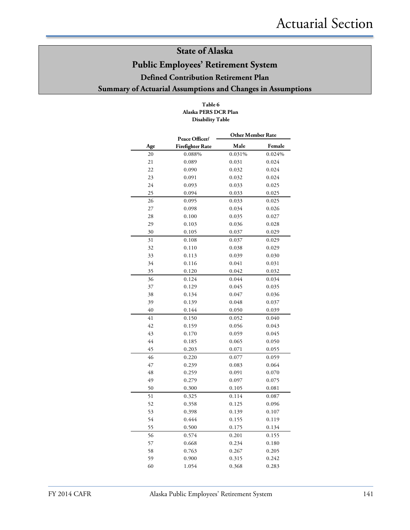#### **Table 6 Alaska PERS DCR Plan Disability Table**

|     | Peace Officer/          | <b>Other Member Rate</b> |        |
|-----|-------------------------|--------------------------|--------|
| Age | <b>Firefighter Rate</b> | Male                     | Female |
| 20  | 0.088%                  | 0.031%                   | 0.024% |
| 21  | 0.089                   | 0.031                    | 0.024  |
| 22  | 0.090                   | 0.032                    | 0.024  |
| 23  | 0.091                   | 0.032                    | 0.024  |
| 24  | 0.093                   | 0.033                    | 0.025  |
| 25  | 0.094                   | 0.033                    | 0.025  |
| 26  | 0.095                   | 0.033                    | 0.025  |
| 27  | 0.098                   | 0.034                    | 0.026  |
| 28  | 0.100                   | 0.035                    | 0.027  |
| 29  | 0.103                   | 0.036                    | 0.028  |
| 30  | 0.105                   | 0.037                    | 0.029  |
| 31  | 0.108                   | 0.037                    | 0.029  |
| 32  | 0.110                   | 0.038                    | 0.029  |
| 33  | 0.113                   | 0.039                    | 0.030  |
| 34  | 0.116                   | 0.041                    | 0.031  |
| 35  | 0.120                   | 0.042                    | 0.032  |
| 36  | 0.124                   | 0.044                    | 0.034  |
| 37  | 0.129                   | 0.045                    | 0.035  |
| 38  | 0.134                   | 0.047                    | 0.036  |
| 39  | 0.139                   | 0.048                    | 0.037  |
| 40  | 0.144                   | 0.050                    | 0.039  |
| 41  | 0.150                   | 0.052                    | 0.040  |
| 42  | 0.159                   | 0.056                    | 0.043  |
| 43  | 0.170                   | 0.059                    | 0.045  |
| 44  | 0.185                   | 0.065                    | 0.050  |
| 45  | 0.203                   | 0.071                    | 0.055  |
| 46  | 0.220                   | 0.077                    | 0.059  |
| 47  | 0.239                   | 0.083                    | 0.064  |
| 48  | 0.259                   | 0.091                    | 0.070  |
| 49  | 0.279                   | 0.097                    | 0.075  |
| 50  | 0.300                   | 0.105                    | 0.081  |
| 51  | 0.325                   | 0.114                    | 0.087  |
| 52  | 0.358                   | 0.125                    | 0.096  |
| 53  | 0.398                   | 0.139                    | 0.107  |
| 54  | 0.444                   | 0.155                    | 0.119  |
| 55  | 0.500                   | 0.175                    | 0.134  |
| 56  | 0.574                   | 0.201                    | 0.155  |
| 57  | 0.668                   | 0.234                    | 0.180  |
| 58  | 0.763                   | 0.267                    | 0.205  |
| 59  | 0.900                   | 0.315                    | 0.242  |
| 60  | 1.054                   | 0.368                    | 0.283  |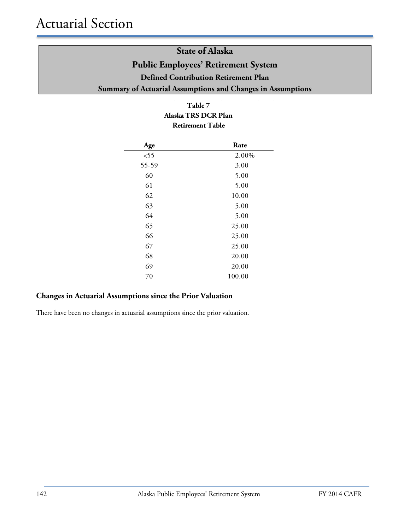#### **Table 7 Alaska TRS DCR Plan Retirement Table**

| Age   | Rate   |
|-------|--------|
| < 55  | 2.00%  |
| 55-59 | 3.00   |
| 60    | 5.00   |
| 61    | 5.00   |
| 62    | 10.00  |
| 63    | 5.00   |
| 64    | 5.00   |
| 65    | 25.00  |
| 66    | 25.00  |
| 67    | 25.00  |
| 68    | 20.00  |
| 69    | 20.00  |
| 70    | 100.00 |

#### **Changes in Actuarial Assumptions since the Prior Valuation**

There have been no changes in actuarial assumptions since the prior valuation.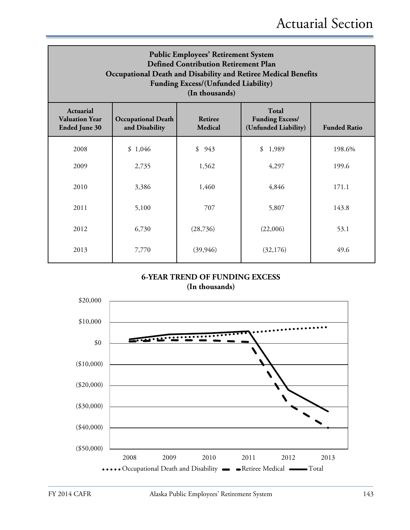| <b>Public Employees' Retirement System</b><br><b>Defined Contribution Retirement Plan</b><br>Occupational Death and Disability and Retiree Medical Benefits<br><b>Funding Excess/(Unfunded Liability)</b><br>(In thousands) |                                             |                                  |                                                                |                     |  |  |
|-----------------------------------------------------------------------------------------------------------------------------------------------------------------------------------------------------------------------------|---------------------------------------------|----------------------------------|----------------------------------------------------------------|---------------------|--|--|
| Actuarial<br><b>Valuation Year</b><br><b>Ended June 30</b>                                                                                                                                                                  | <b>Occupational Death</b><br>and Disability | <b>Retiree</b><br><b>Medical</b> | <b>Total</b><br><b>Funding Excess/</b><br>(Unfunded Liability) | <b>Funded Ratio</b> |  |  |
| 2008                                                                                                                                                                                                                        | \$1,046                                     | \$943                            | 1,989<br>\$                                                    | 198.6%              |  |  |
| 2009                                                                                                                                                                                                                        | 2,735                                       | 1,562                            | 4,297                                                          | 199.6               |  |  |
| 2010                                                                                                                                                                                                                        | 3,386                                       | 1,460                            | 4,846                                                          | 171.1               |  |  |
| 2011                                                                                                                                                                                                                        | 5,100                                       | 707                              | 5,807                                                          | 143.8               |  |  |
| 2012                                                                                                                                                                                                                        | 6,730                                       | (28, 736)                        | (22,006)                                                       | 53.1                |  |  |
| 2013                                                                                                                                                                                                                        | 7,770                                       | (39, 946)                        | (32, 176)                                                      | 49.6                |  |  |

**6-YEAR TREND OF FUNDING EXCESS (In thousands)**

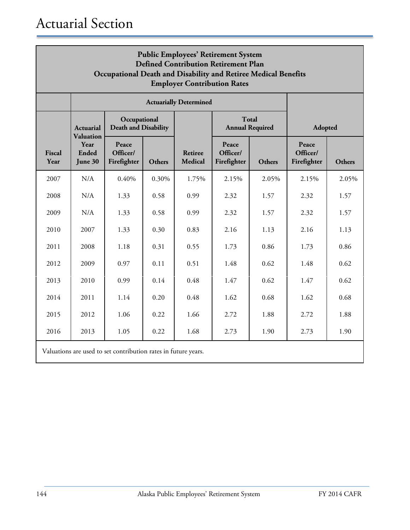| <b>Public Employees' Retirement System</b><br><b>Defined Contribution Retirement Plan</b><br>Occupational Death and Disability and Retiree Medical Benefits<br><b>Employer Contribution Rates</b> |                                                              |                                      |                                            |       |                                  |        |                                  |        |
|---------------------------------------------------------------------------------------------------------------------------------------------------------------------------------------------------|--------------------------------------------------------------|--------------------------------------|--------------------------------------------|-------|----------------------------------|--------|----------------------------------|--------|
|                                                                                                                                                                                                   | <b>Actuarially Determined</b>                                |                                      |                                            |       |                                  |        |                                  |        |
|                                                                                                                                                                                                   | <b>Actuarial</b><br><b>Valuation</b>                         | Occupational<br>Death and Disability |                                            |       | Total<br><b>Annual Required</b>  |        | Adopted                          |        |
| Fiscal<br>Year                                                                                                                                                                                    | Year<br>Ended<br>June 30                                     | Peace<br>Officer/<br>Firefighter     | <b>Retiree</b><br><b>Medical</b><br>Others |       | Peace<br>Officer/<br>Firefighter | Others | Peace<br>Officer/<br>Firefighter | Others |
| 2007                                                                                                                                                                                              | N/A                                                          | 0.40%                                | 0.30%                                      | 1.75% | 2.15%                            | 2.05%  | 2.15%                            | 2.05%  |
| 2008                                                                                                                                                                                              | N/A                                                          | 1.33                                 | 0.58                                       | 0.99  | 2.32                             | 1.57   | 2.32                             | 1.57   |
| 2009                                                                                                                                                                                              | N/A                                                          | 1.33                                 | 0.58                                       | 0.99  | 2.32                             | 1.57   | 2.32                             | 1.57   |
| 2010                                                                                                                                                                                              | 2007                                                         | 1.33                                 | 0.30                                       | 0.83  | 2.16                             | 1.13   | 2.16                             | 1.13   |
| 2011                                                                                                                                                                                              | 2008                                                         | 1.18                                 | 0.31                                       | 0.55  | 1.73                             | 0.86   | 1.73                             | 0.86   |
| 2012                                                                                                                                                                                              | 2009                                                         | 0.97                                 | 0.11                                       | 0.51  | 1.48                             | 0.62   | 1.48                             | 0.62   |
| 2013                                                                                                                                                                                              | 2010                                                         | 0.99                                 | 0.14                                       | 0.48  | 1.47                             | 0.62   | 1.47                             | 0.62   |
| 2014                                                                                                                                                                                              | 2011                                                         | 1.14                                 | 0.20                                       | 0.48  | 1.62                             | 0.68   | 1.62                             | 0.68   |
| 2015                                                                                                                                                                                              | 2012                                                         | 1.06                                 | 0.22                                       | 1.66  | 2.72                             | 1.88   | 2.72                             | 1.88   |
| 2016                                                                                                                                                                                              | 2013<br>1.05<br>0.22<br>1.68<br>2.73<br>1.90<br>2.73<br>1.90 |                                      |                                            |       |                                  |        |                                  |        |
| Valuations are used to set contribution rates in future years.                                                                                                                                    |                                                              |                                      |                                            |       |                                  |        |                                  |        |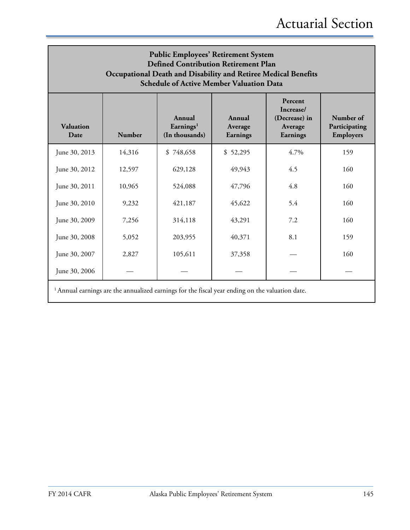| <b>Public Employees' Retirement System</b><br><b>Defined Contribution Retirement Plan</b><br>Occupational Death and Disability and Retiree Medical Benefits<br><b>Schedule of Active Member Valuation Data</b> |                                                                                                                                                                                                                              |           |          |      |     |  |  |
|----------------------------------------------------------------------------------------------------------------------------------------------------------------------------------------------------------------|------------------------------------------------------------------------------------------------------------------------------------------------------------------------------------------------------------------------------|-----------|----------|------|-----|--|--|
| <b>Valuation</b><br>Date                                                                                                                                                                                       | Percent<br>Increase/<br><b>Annual</b><br>(Decrease) in<br>Number of<br>Annual<br>Earnings <sup>1</sup><br>Participating<br>Average<br>Average<br><b>Number</b><br>(In thousands)<br><b>Employers</b><br>Earnings<br>Earnings |           |          |      |     |  |  |
| June 30, 2013                                                                                                                                                                                                  | 14,316                                                                                                                                                                                                                       | \$748,658 | \$52,295 | 4.7% | 159 |  |  |
| June 30, 2012                                                                                                                                                                                                  | 12,597                                                                                                                                                                                                                       | 629,128   | 49,943   | 4.5  | 160 |  |  |
| June 30, 2011                                                                                                                                                                                                  | 10,965                                                                                                                                                                                                                       | 524,088   | 47,796   | 4.8  | 160 |  |  |
| June 30, 2010                                                                                                                                                                                                  | 9,232                                                                                                                                                                                                                        | 421,187   | 45,622   | 5.4  | 160 |  |  |
| June 30, 2009                                                                                                                                                                                                  | 7,256                                                                                                                                                                                                                        | 314,118   | 43,291   | 7.2  | 160 |  |  |
| June 30, 2008                                                                                                                                                                                                  | 5,052                                                                                                                                                                                                                        | 203,955   | 40,371   | 8.1  | 159 |  |  |
| June 30, 2007                                                                                                                                                                                                  | 2,827                                                                                                                                                                                                                        | 105,611   | 37,358   |      | 160 |  |  |
| June 30, 2006                                                                                                                                                                                                  |                                                                                                                                                                                                                              |           |          |      |     |  |  |
| <sup>1</sup> Annual earnings are the annualized earnings for the fiscal year ending on the valuation date.                                                                                                     |                                                                                                                                                                                                                              |           |          |      |     |  |  |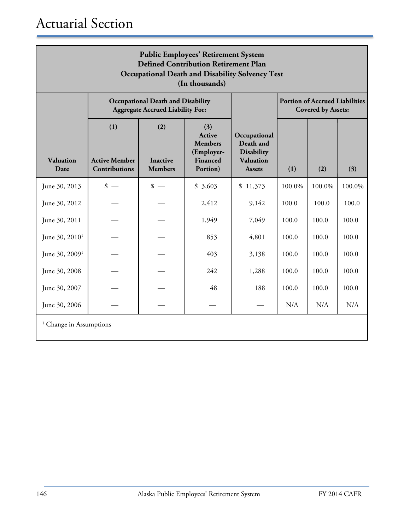| <b>Public Employees' Retirement System</b><br><b>Defined Contribution Retirement Plan</b><br><b>Occupational Death and Disability Solvency Test</b><br>(In thousands) |                                                                                     |                                          |                                                                       |                                                                                     |                                                                    |        |        |
|-----------------------------------------------------------------------------------------------------------------------------------------------------------------------|-------------------------------------------------------------------------------------|------------------------------------------|-----------------------------------------------------------------------|-------------------------------------------------------------------------------------|--------------------------------------------------------------------|--------|--------|
|                                                                                                                                                                       | <b>Occupational Death and Disability</b><br><b>Aggregate Accrued Liability For:</b> |                                          |                                                                       |                                                                                     | <b>Portion of Accrued Liabilities</b><br><b>Covered by Assets:</b> |        |        |
| Valuation<br>Date                                                                                                                                                     | (1)<br><b>Active Member</b><br><b>Contributions</b>                                 | (2)<br><b>Inactive</b><br><b>Members</b> | (3)<br>Active<br><b>Members</b><br>(Employer-<br>Financed<br>Portion) | Occupational<br>Death and<br><b>Disability</b><br><b>Valuation</b><br><b>Assets</b> | (1)                                                                | (2)    | (3)    |
| June 30, 2013                                                                                                                                                         | $\frac{\text{I}}{\text{I}}$                                                         | $\frac{\text{I}}{\text{I}}$              | \$3,603                                                               | \$11,373                                                                            | 100.0%                                                             | 100.0% | 100.0% |
| June 30, 2012                                                                                                                                                         |                                                                                     |                                          | 2,412                                                                 | 9,142                                                                               | 100.0                                                              | 100.0  | 100.0  |
| June 30, 2011                                                                                                                                                         |                                                                                     |                                          | 1,949                                                                 | 7,049                                                                               | 100.0                                                              | 100.0  | 100.0  |
| June 30, $2010^1$                                                                                                                                                     |                                                                                     |                                          | 853                                                                   | 4,801                                                                               | 100.0                                                              | 100.0  | 100.0  |
| June 30, 2009 <sup>1</sup>                                                                                                                                            |                                                                                     |                                          | 403                                                                   | 3,138                                                                               | 100.0                                                              | 100.0  | 100.0  |
| June 30, 2008                                                                                                                                                         |                                                                                     |                                          | 242                                                                   | 1,288                                                                               | 100.0                                                              | 100.0  | 100.0  |
| June 30, 2007                                                                                                                                                         |                                                                                     |                                          | 48                                                                    | 188                                                                                 | 100.0                                                              | 100.0  | 100.0  |
| June 30, 2006                                                                                                                                                         |                                                                                     |                                          |                                                                       |                                                                                     | N/A                                                                | N/A    | N/A    |
| <sup>1</sup> Change in Assumptions                                                                                                                                    |                                                                                     |                                          |                                                                       |                                                                                     |                                                                    |        |        |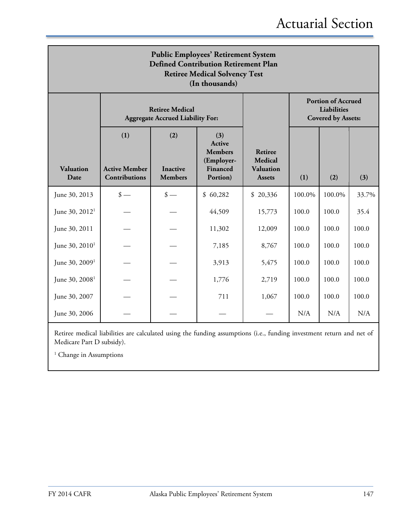| <b>Public Employees' Retirement System</b><br><b>Defined Contribution Retirement Plan</b><br><b>Retiree Medical Solvency Test</b><br>(In thousands) |                                                                   |                                          |                                                                       |                                                                       |        |                                                                       |       |
|-----------------------------------------------------------------------------------------------------------------------------------------------------|-------------------------------------------------------------------|------------------------------------------|-----------------------------------------------------------------------|-----------------------------------------------------------------------|--------|-----------------------------------------------------------------------|-------|
|                                                                                                                                                     | <b>Retiree Medical</b><br><b>Aggregate Accrued Liability For:</b> |                                          |                                                                       |                                                                       |        | <b>Portion of Accrued</b><br>Liabilities<br><b>Covered by Assets:</b> |       |
| <b>Valuation</b><br>Date                                                                                                                            | (1)<br><b>Active Member</b><br><b>Contributions</b>               | (2)<br><b>Inactive</b><br><b>Members</b> | (3)<br>Active<br><b>Members</b><br>(Employer-<br>Financed<br>Portion) | <b>Retiree</b><br><b>Medical</b><br><b>Valuation</b><br><b>Assets</b> | (1)    | (2)                                                                   | (3)   |
| June 30, 2013                                                                                                                                       | $\frac{\text{I}}{\text{I}}$                                       | $\frac{\text{I}}{\text{I}}$              | \$60,282                                                              | \$20,336                                                              | 100.0% | 100.0%                                                                | 33.7% |
| June 30, 2012 <sup>1</sup>                                                                                                                          |                                                                   |                                          | 44,509                                                                | 15,773                                                                | 100.0  | 100.0                                                                 | 35.4  |
| June 30, 2011                                                                                                                                       |                                                                   |                                          | 11,302                                                                | 12,009                                                                | 100.0  | 100.0                                                                 | 100.0 |
| June 30, 2010 <sup>1</sup>                                                                                                                          |                                                                   |                                          | 7,185                                                                 | 8,767                                                                 | 100.0  | 100.0                                                                 | 100.0 |
| June 30, 2009 <sup>1</sup>                                                                                                                          |                                                                   |                                          | 3,913                                                                 | 5,475                                                                 | 100.0  | 100.0                                                                 | 100.0 |
| June 30, 2008 <sup>1</sup>                                                                                                                          |                                                                   |                                          | 1,776                                                                 | 2,719                                                                 | 100.0  | 100.0                                                                 | 100.0 |
| June 30, 2007                                                                                                                                       |                                                                   |                                          | 711                                                                   | 1,067                                                                 | 100.0  | 100.0                                                                 | 100.0 |
| June 30, 2006                                                                                                                                       |                                                                   |                                          |                                                                       |                                                                       | N/A    | N/A                                                                   | N/A   |

Retiree medical liabilities are calculated using the funding assumptions (i.e., funding investment return and net of Medicare Part D subsidy).

<sup>1</sup> Change in Assumptions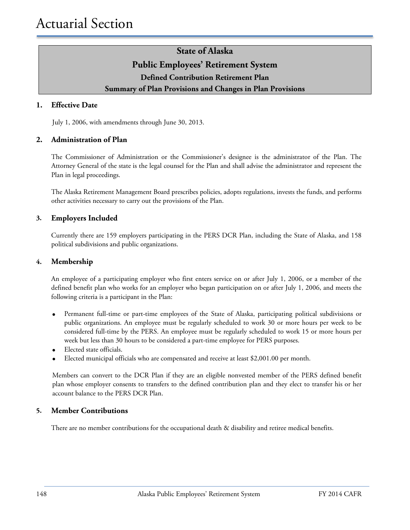# **State of Alaska Public Employees' Retirement System Defined Contribution Retirement Plan Summary of Plan Provisions and Changes in Plan Provisions**

#### **1. Effective Date**

July 1, 2006, with amendments through June 30, 2013.

#### **2. Administration of Plan**

The Commissioner of Administration or the Commissioner's designee is the administrator of the Plan. The Attorney General of the state is the legal counsel for the Plan and shall advise the administrator and represent the Plan in legal proceedings.

The Alaska Retirement Management Board prescribes policies, adopts regulations, invests the funds, and performs other activities necessary to carry out the provisions of the Plan.

#### **3. Employers Included**

Currently there are 159 employers participating in the PERS DCR Plan, including the State of Alaska, and 158 political subdivisions and public organizations.

#### **4. Membership**

An employee of a participating employer who first enters service on or after July 1, 2006, or a member of the defined benefit plan who works for an employer who began participation on or after July 1, 2006, and meets the following criteria is a participant in the Plan:

- Permanent full-time or part-time employees of the State of Alaska, participating political subdivisions or public organizations. An employee must be regularly scheduled to work 30 or more hours per week to be considered full-time by the PERS. An employee must be regularly scheduled to work 15 or more hours per week but less than 30 hours to be considered a part-time employee for PERS purposes.
- Elected state officials.
- Elected municipal officials who are compensated and receive at least \$2,001.00 per month.

Members can convert to the DCR Plan if they are an eligible nonvested member of the PERS defined benefit plan whose employer consents to transfers to the defined contribution plan and they elect to transfer his or her account balance to the PERS DCR Plan.

#### **5. Member Contributions**

There are no member contributions for the occupational death & disability and retiree medical benefits.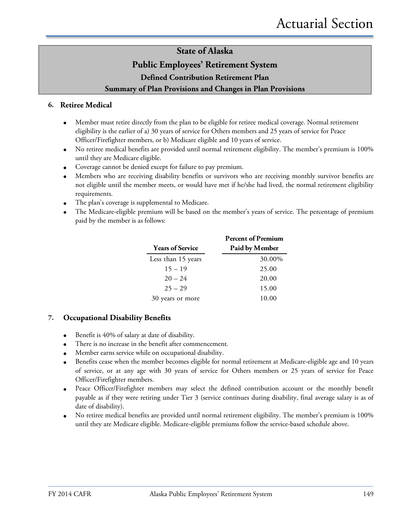#### **Public Employees' Retirement System**

**Defined Contribution Retirement Plan**

#### **Summary of Plan Provisions and Changes in Plan Provisions**

#### **6. Retiree Medical**

- Member must retire directly from the plan to be eligible for retiree medical coverage. Normal retirement eligibility is the earlier of a) 30 years of service for Others members and 25 years of service for Peace Officer/Firefighter members, or b) Medicare eligible and 10 years of service.
- No retiree medical benefits are provided until normal retirement eligibility. The member's premium is 100% until they are Medicare eligible.
- Coverage cannot be denied except for failure to pay premium.
- Members who are receiving disability benefits or survivors who are receiving monthly survivor benefits are not eligible until the member meets, or would have met if he/she had lived, the normal retirement eligibility requirements.
- The plan's coverage is supplemental to Medicare.
- The Medicare-eligible premium will be based on the member's years of service. The percentage of premium paid by the member is as follows:

|                         | <b>Percent of Premium</b> |
|-------------------------|---------------------------|
| <b>Years of Service</b> | Paid by Member            |
| Less than 15 years      | 30.00%                    |
| $15 - 19$               | 25.00                     |
| $20 - 24$               | 20.00                     |
| $25 - 29$               | 15.00                     |
| 30 years or more        | 10.00                     |

#### **7. Occupational Disability Benefits**

- Benefit is 40% of salary at date of disability.
- There is no increase in the benefit after commencement.
- Member earns service while on occupational disability.
- Benefits cease when the member becomes eligible for normal retirement at Medicare-eligible age and 10 years of service, or at any age with 30 years of service for Others members or 25 years of service for Peace Officer/Firefighter members.
- Peace Officer/Firefighter members may select the defined contribution account or the monthly benefit payable as if they were retiring under Tier 3 (service continues during disability, final average salary is as of date of disability).
- No retiree medical benefits are provided until normal retirement eligibility. The member's premium is 100% until they are Medicare eligible. Medicare-eligible premiums follow the service-based schedule above.